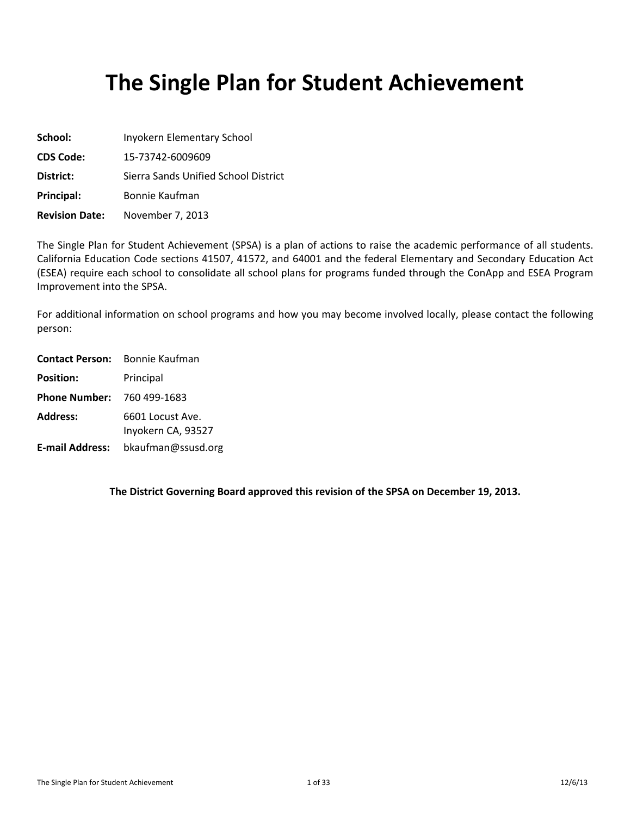# **The Single Plan for Student Achievement**

| School:               | Inyokern Elementary School           |
|-----------------------|--------------------------------------|
| <b>CDS Code:</b>      | 15-73742-6009609                     |
| District:             | Sierra Sands Unified School District |
| Principal:            | Bonnie Kaufman                       |
| <b>Revision Date:</b> | November 7, 2013                     |

The Single Plan for Student Achievement (SPSA) is a plan of actions to raise the academic performance of all students. California Education Code sections 41507, 41572, and 64001 and the federal Elementary and Secondary Education Act (ESEA) require each school to consolidate all school plans for programs funded through the ConApp and ESEA Program Improvement into the SPSA.

For additional information on school programs and how you may become involved locally, please contact the following person:

| <b>Contact Person:</b>            | Bonnie Kaufman                         |
|-----------------------------------|----------------------------------------|
| <b>Position:</b>                  | Principal                              |
| <b>Phone Number: 760 499-1683</b> |                                        |
| <b>Address:</b>                   | 6601 Locust Ave.<br>Inyokern CA, 93527 |
| <b>E-mail Address:</b>            | bkaufman@ssusd.org                     |

**The District Governing Board approved this revision of the SPSA on December 19, 2013.**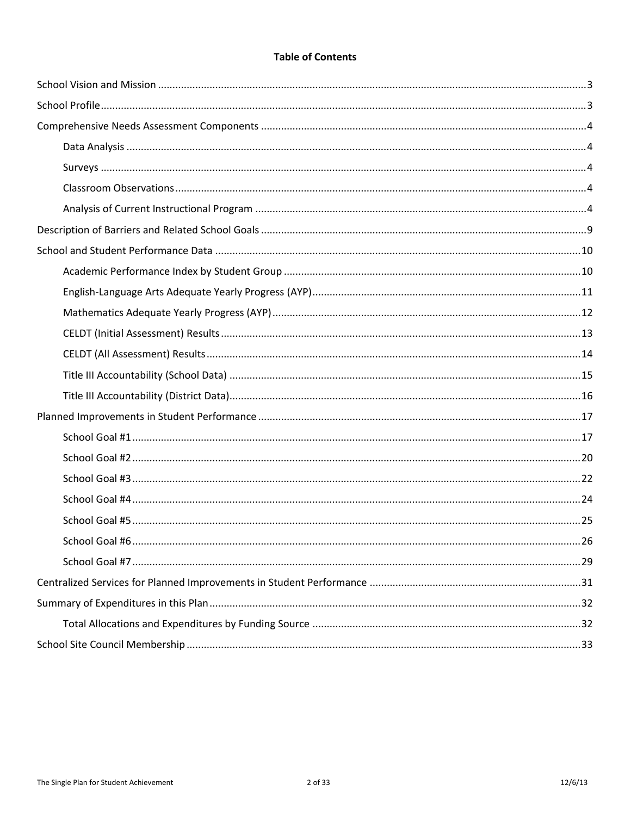# **Table of Contents**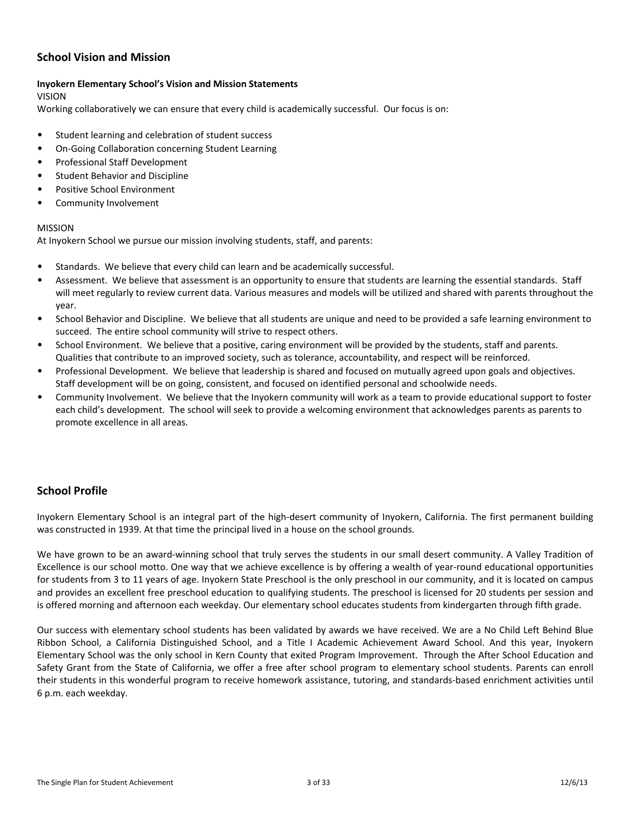## <span id="page-2-0"></span>**School Vision and Mission**

#### **Inyokern Elementary School's Vision and Mission Statements**

#### VISION

Working collaboratively we can ensure that every child is academically successful. Our focus is on:

- Student learning and celebration of student success
- On-Going Collaboration concerning Student Learning
- Professional Staff Development
- Student Behavior and Discipline
- Positive School Environment
- Community Involvement

#### MISSION

At Inyokern School we pursue our mission involving students, staff, and parents:

- Standards. We believe that every child can learn and be academically successful.
- Assessment. We believe that assessment is an opportunity to ensure that students are learning the essential standards. Staff will meet regularly to review current data. Various measures and models will be utilized and shared with parents throughout the year.
- School Behavior and Discipline. We believe that all students are unique and need to be provided a safe learning environment to succeed. The entire school community will strive to respect others.
- School Environment. We believe that a positive, caring environment will be provided by the students, staff and parents. Qualities that contribute to an improved society, such as tolerance, accountability, and respect will be reinforced.
- Professional Development. We believe that leadership is shared and focused on mutually agreed upon goals and objectives. Staff development will be on going, consistent, and focused on identified personal and schoolwide needs.
- Community Involvement. We believe that the Inyokern community will work as a team to provide educational support to foster each child's development. The school will seek to provide a welcoming environment that acknowledges parents as parents to promote excellence in all areas.

# <span id="page-2-1"></span>**School Profile**

Inyokern Elementary School is an integral part of the high-desert community of Inyokern, California. The first permanent building was constructed in 1939. At that time the principal lived in a house on the school grounds.

We have grown to be an award-winning school that truly serves the students in our small desert community. A Valley Tradition of Excellence is our school motto. One way that we achieve excellence is by offering a wealth of year-round educational opportunities for students from 3 to 11 years of age. Inyokern State Preschool is the only preschool in our community, and it is located on campus and provides an excellent free preschool education to qualifying students. The preschool is licensed for 20 students per session and is offered morning and afternoon each weekday. Our elementary school educates students from kindergarten through fifth grade.

Our success with elementary school students has been validated by awards we have received. We are a No Child Left Behind Blue Ribbon School, a California Distinguished School, and a Title I Academic Achievement Award School. And this year, Inyokern Elementary School was the only school in Kern County that exited Program Improvement. Through the After School Education and Safety Grant from the State of California, we offer a free after school program to elementary school students. Parents can enroll their students in this wonderful program to receive homework assistance, tutoring, and standards-based enrichment activities until 6 p.m. each weekday.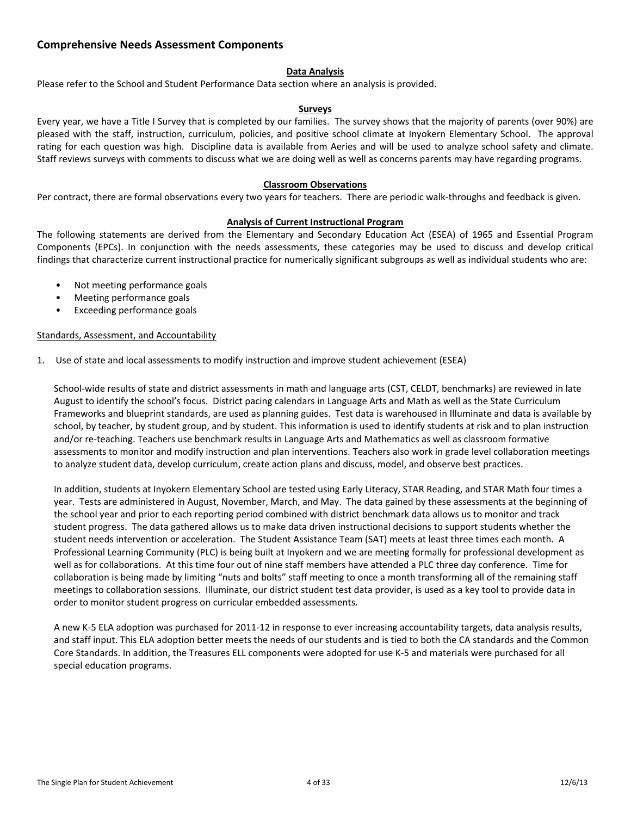### <span id="page-3-0"></span>**Comprehensive Needs Assessment Components**

#### <span id="page-3-1"></span>**Data Analysis**

Please refer to the School and Student Performance Data section where an analysis is provided.

#### <span id="page-3-2"></span>**Surveys**

Every year, we have a Title I Survey that is completed by our families. The survey shows that the majority of parents (over 90%) are pleased with the staff, instruction, curriculum, policies, and positive school climate at Inyokern Elementary School. The approval rating for each question was high. Discipline data is available from Aeries and will be used to analyze school safety and climate. Staff reviews surveys with comments to discuss what we are doing well as well as concerns parents may have regarding programs.

#### <span id="page-3-3"></span>**Classroom Observations**

Per contract, there are formal observations every two years for teachers. There are periodic walk-throughs and feedback is given.

#### <span id="page-3-4"></span>**Analysis of Current Instructional Program**

The following statements are derived from the Elementary and Secondary Education Act (ESEA) of 1965 and Essential Program Components (EPCs). In conjunction with the needs assessments, these categories may be used to discuss and develop critical findings that characterize current instructional practice for numerically significant subgroups as well as individual students who are:

- Not meeting performance goals
- Meeting performance goals
- Exceeding performance goals

#### Standards, Assessment, and Accountability

1. Use of state and local assessments to modify instruction and improve student achievement (ESEA)

School-wide results of state and district assessments in math and language arts (CST, CELDT, benchmarks) are reviewed in late August to identify the school's focus. District pacing calendars in Language Arts and Math as well as the State Curriculum Frameworks and blueprint standards, are used as planning guides. Test data is warehoused in Illuminate and data is available by school, by teacher, by student group, and by student. This information is used to identify students at risk and to plan instruction and/or re-teaching. Teachers use benchmark results in Language Arts and Mathematics as well as classroom formative assessments to monitor and modify instruction and plan interventions. Teachers also work in grade level collaboration meetings to analyze student data, develop curriculum, create action plans and discuss, model, and observe best practices.

In addition, students at Inyokern Elementary School are tested using Early Literacy, STAR Reading, and STAR Math four times a year. Tests are administered in August, November, March, and May. The data gained by these assessments at the beginning of the school year and prior to each reporting period combined with district benchmark data allows us to monitor and track student progress. The data gathered allows us to make data driven instructional decisions to support students whether the student needs intervention or acceleration. The Student Assistance Team (SAT) meets at least three times each month. A Professional Learning Community (PLC) is being built at Inyokern and we are meeting formally for professional development as well as for collaborations. At this time four out of nine staff members have attended a PLC three day conference. Time for collaboration is being made by limiting "nuts and bolts" staff meeting to once a month transforming all of the remaining staff meetings to collaboration sessions. Illuminate, our district student test data provider, is used as a key tool to provide data in order to monitor student progress on curricular embedded assessments.

A new K-5 ELA adoption was purchased for 2011-12 in response to ever increasing accountability targets, data analysis results, and staff input. This ELA adoption better meets the needs of our students and is tied to both the CA standards and the Common Core Standards. In addition, the Treasures ELL components were adopted for use K-5 and materials were purchased for all special education programs.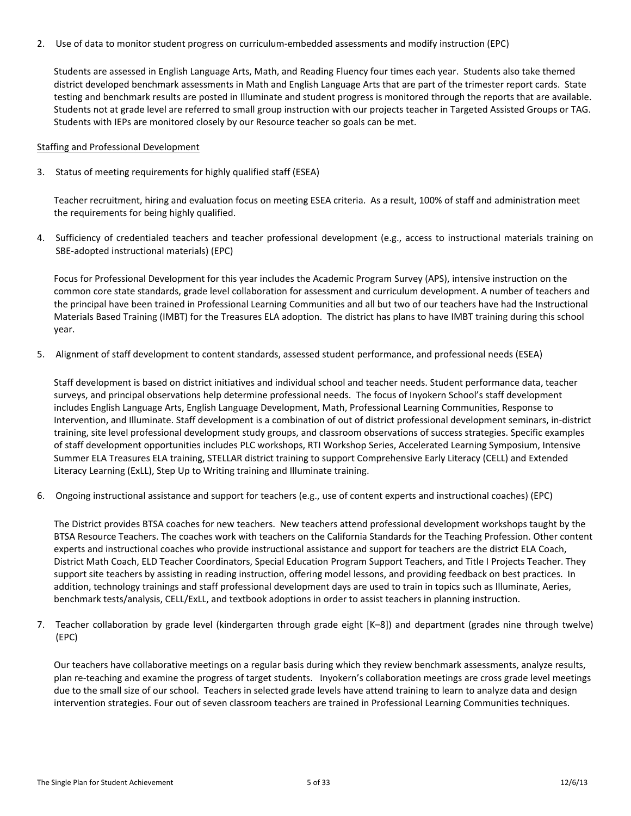2. Use of data to monitor student progress on curriculum-embedded assessments and modify instruction (EPC)

Students are assessed in English Language Arts, Math, and Reading Fluency four times each year. Students also take themed district developed benchmark assessments in Math and English Language Arts that are part of the trimester report cards. State testing and benchmark results are posted in Illuminate and student progress is monitored through the reports that are available. Students not at grade level are referred to small group instruction with our projects teacher in Targeted Assisted Groups or TAG. Students with IEPs are monitored closely by our Resource teacher so goals can be met.

#### Staffing and Professional Development

3. Status of meeting requirements for highly qualified staff (ESEA)

Teacher recruitment, hiring and evaluation focus on meeting ESEA criteria. As a result, 100% of staff and administration meet the requirements for being highly qualified.

4. Sufficiency of credentialed teachers and teacher professional development (e.g., access to instructional materials training on SBE-adopted instructional materials) (EPC)

Focus for Professional Development for this year includes the Academic Program Survey (APS), intensive instruction on the common core state standards, grade level collaboration for assessment and curriculum development. A number of teachers and the principal have been trained in Professional Learning Communities and all but two of our teachers have had the Instructional Materials Based Training (IMBT) for the Treasures ELA adoption. The district has plans to have IMBT training during this school year.

5. Alignment of staff development to content standards, assessed student performance, and professional needs (ESEA)

Staff development is based on district initiatives and individual school and teacher needs. Student performance data, teacher surveys, and principal observations help determine professional needs. The focus of Inyokern School's staff development includes English Language Arts, English Language Development, Math, Professional Learning Communities, Response to Intervention, and Illuminate. Staff development is a combination of out of district professional development seminars, in-district training, site level professional development study groups, and classroom observations of success strategies. Specific examples of staff development opportunities includes PLC workshops, RTI Workshop Series, Accelerated Learning Symposium, Intensive Summer ELA Treasures ELA training, STELLAR district training to support Comprehensive Early Literacy (CELL) and Extended Literacy Learning (ExLL), Step Up to Writing training and Illuminate training.

6. Ongoing instructional assistance and support for teachers (e.g., use of content experts and instructional coaches) (EPC)

The District provides BTSA coaches for new teachers. New teachers attend professional development workshops taught by the BTSA Resource Teachers. The coaches work with teachers on the California Standards for the Teaching Profession. Other content experts and instructional coaches who provide instructional assistance and support for teachers are the district ELA Coach, District Math Coach, ELD Teacher Coordinators, Special Education Program Support Teachers, and Title I Projects Teacher. They support site teachers by assisting in reading instruction, offering model lessons, and providing feedback on best practices. In addition, technology trainings and staff professional development days are used to train in topics such as Illuminate, Aeries, benchmark tests/analysis, CELL/ExLL, and textbook adoptions in order to assist teachers in planning instruction.

7. Teacher collaboration by grade level (kindergarten through grade eight [K–8]) and department (grades nine through twelve) (EPC)

Our teachers have collaborative meetings on a regular basis during which they review benchmark assessments, analyze results, plan re-teaching and examine the progress of target students. Inyokern's collaboration meetings are cross grade level meetings due to the small size of our school. Teachers in selected grade levels have attend training to learn to analyze data and design intervention strategies. Four out of seven classroom teachers are trained in Professional Learning Communities techniques.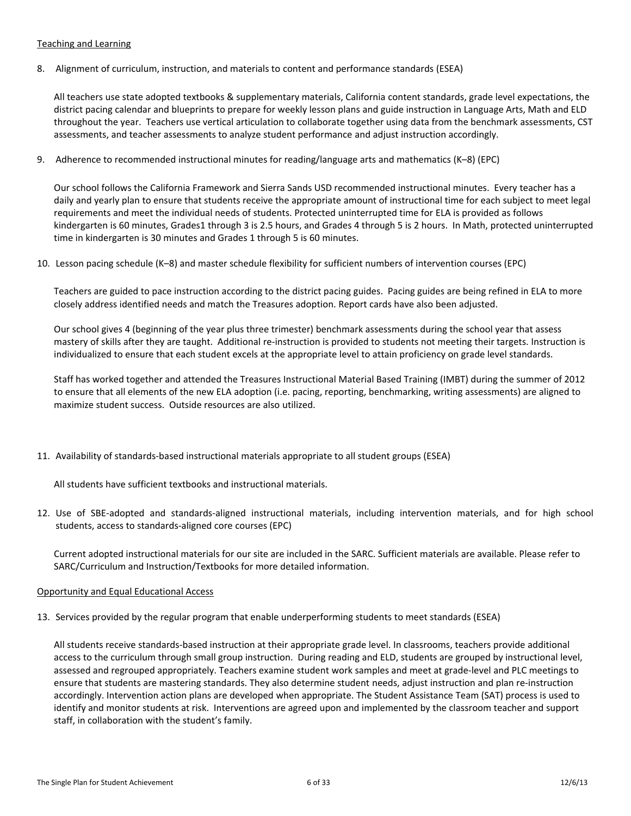#### Teaching and Learning

8. Alignment of curriculum, instruction, and materials to content and performance standards (ESEA)

All teachers use state adopted textbooks & supplementary materials, California content standards, grade level expectations, the district pacing calendar and blueprints to prepare for weekly lesson plans and guide instruction in Language Arts, Math and ELD throughout the year. Teachers use vertical articulation to collaborate together using data from the benchmark assessments, CST assessments, and teacher assessments to analyze student performance and adjust instruction accordingly.

9. Adherence to recommended instructional minutes for reading/language arts and mathematics (K–8) (EPC)

Our school follows the California Framework and Sierra Sands USD recommended instructional minutes. Every teacher has a daily and yearly plan to ensure that students receive the appropriate amount of instructional time for each subject to meet legal requirements and meet the individual needs of students. Protected uninterrupted time for ELA is provided as follows kindergarten is 60 minutes, Grades1 through 3 is 2.5 hours, and Grades 4 through 5 is 2 hours. In Math, protected uninterrupted time in kindergarten is 30 minutes and Grades 1 through 5 is 60 minutes.

10. Lesson pacing schedule (K–8) and master schedule flexibility for sufficient numbers of intervention courses (EPC)

Teachers are guided to pace instruction according to the district pacing guides. Pacing guides are being refined in ELA to more closely address identified needs and match the Treasures adoption. Report cards have also been adjusted.

Our school gives 4 (beginning of the year plus three trimester) benchmark assessments during the school year that assess mastery of skills after they are taught. Additional re-instruction is provided to students not meeting their targets. Instruction is individualized to ensure that each student excels at the appropriate level to attain proficiency on grade level standards.

Staff has worked together and attended the Treasures Instructional Material Based Training (IMBT) during the summer of 2012 to ensure that all elements of the new ELA adoption (i.e. pacing, reporting, benchmarking, writing assessments) are aligned to maximize student success. Outside resources are also utilized.

11. Availability of standards-based instructional materials appropriate to all student groups (ESEA)

All students have sufficient textbooks and instructional materials.

12. Use of SBE-adopted and standards-aligned instructional materials, including intervention materials, and for high school students, access to standards-aligned core courses (EPC)

Current adopted instructional materials for our site are included in the SARC. Sufficient materials are available. Please refer to SARC/Curriculum and Instruction/Textbooks for more detailed information.

#### Opportunity and Equal Educational Access

13. Services provided by the regular program that enable underperforming students to meet standards (ESEA)

All students receive standards-based instruction at their appropriate grade level. In classrooms, teachers provide additional access to the curriculum through small group instruction. During reading and ELD, students are grouped by instructional level, assessed and regrouped appropriately. Teachers examine student work samples and meet at grade-level and PLC meetings to ensure that students are mastering standards. They also determine student needs, adjust instruction and plan re-instruction accordingly. Intervention action plans are developed when appropriate. The Student Assistance Team (SAT) process is used to identify and monitor students at risk. Interventions are agreed upon and implemented by the classroom teacher and support staff, in collaboration with the student's family.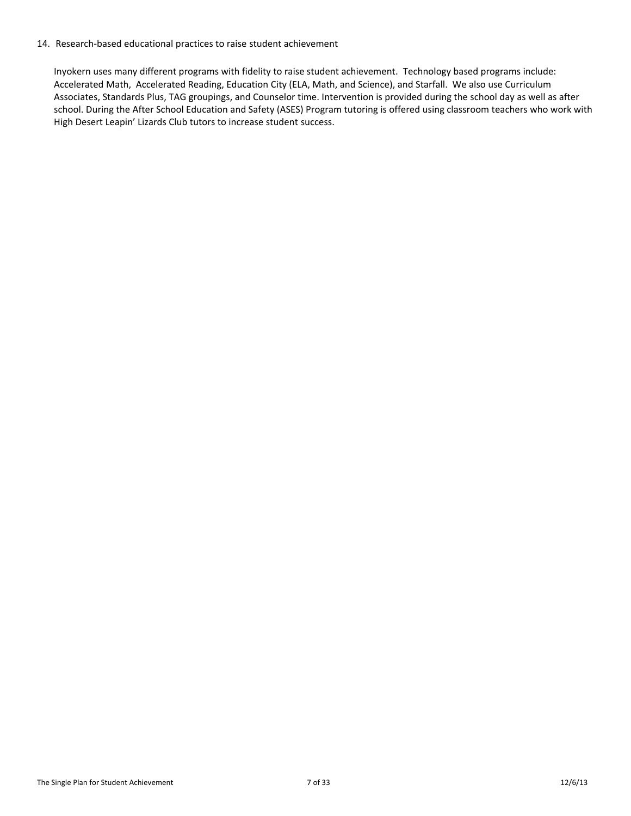#### 14. Research-based educational practices to raise student achievement

Inyokern uses many different programs with fidelity to raise student achievement. Technology based programs include: Accelerated Math, Accelerated Reading, Education City (ELA, Math, and Science), and Starfall. We also use Curriculum Associates, Standards Plus, TAG groupings, and Counselor time. Intervention is provided during the school day as well as after school. During the After School Education and Safety (ASES) Program tutoring is offered using classroom teachers who work with High Desert Leapin' Lizards Club tutors to increase student success.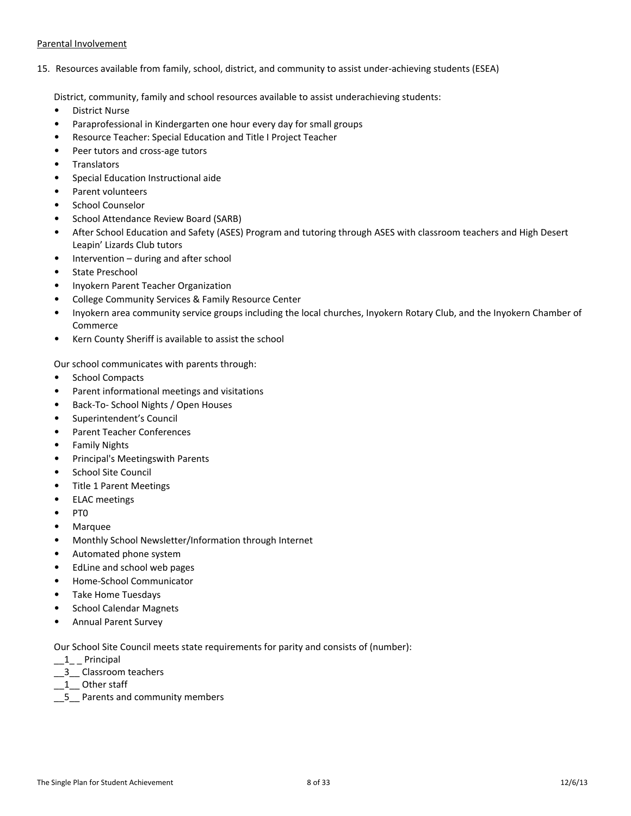#### Parental Involvement

15. Resources available from family, school, district, and community to assist under-achieving students (ESEA)

District, community, family and school resources available to assist underachieving students:

- District Nurse
- Paraprofessional in Kindergarten one hour every day for small groups
- Resource Teacher: Special Education and Title I Project Teacher
- Peer tutors and cross-age tutors
- **Translators**
- Special Education Instructional aide
- Parent volunteers
- School Counselor
- School Attendance Review Board (SARB)
- After School Education and Safety (ASES) Program and tutoring through ASES with classroom teachers and High Desert Leapin' Lizards Club tutors
- Intervention during and after school
- State Preschool
- Inyokern Parent Teacher Organization
- College Community Services & Family Resource Center
- Inyokern area community service groups including the local churches, Inyokern Rotary Club, and the Inyokern Chamber of Commerce
- Kern County Sheriff is available to assist the school

Our school communicates with parents through:

- School Compacts
- Parent informational meetings and visitations
- Back-To- School Nights / Open Houses
- Superintendent's Council
- Parent Teacher Conferences
- Family Nights
- Principal's Meetingswith Parents
- School Site Council
- Title 1 Parent Meetings
- ELAC meetings
- PT0
- Marquee
- Monthly School Newsletter/Information through Internet
- Automated phone system
- EdLine and school web pages
- Home-School Communicator
- Take Home Tuesdays
- School Calendar Magnets
- Annual Parent Survey

Our School Site Council meets state requirements for parity and consists of (number):

- $-1$  Principal
- \_\_3\_\_ Classroom teachers
- \_\_1\_\_ Other staff
- \_\_5\_\_ Parents and community members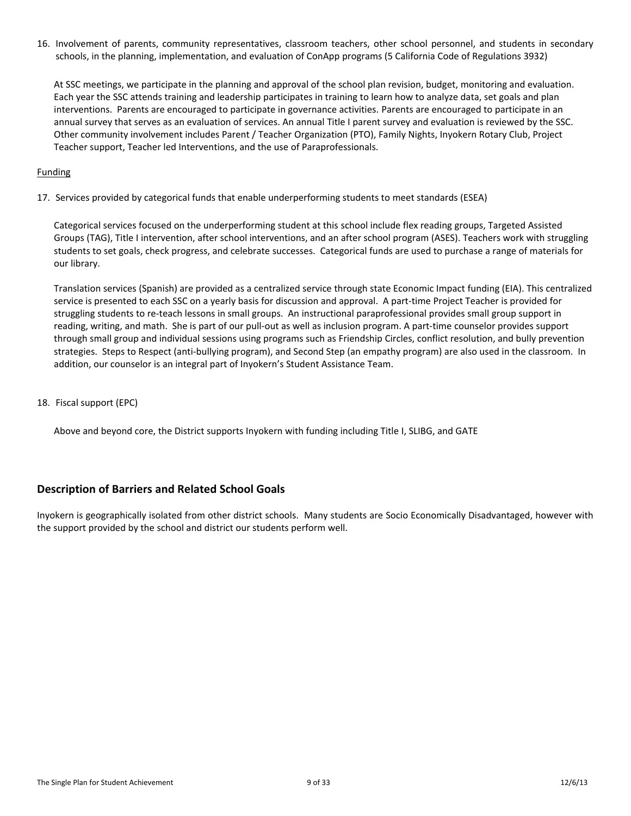16. Involvement of parents, community representatives, classroom teachers, other school personnel, and students in secondary schools, in the planning, implementation, and evaluation of ConApp programs (5 California Code of Regulations 3932)

At SSC meetings, we participate in the planning and approval of the school plan revision, budget, monitoring and evaluation. Each year the SSC attends training and leadership participates in training to learn how to analyze data, set goals and plan interventions. Parents are encouraged to participate in governance activities. Parents are encouraged to participate in an annual survey that serves as an evaluation of services. An annual Title I parent survey and evaluation is reviewed by the SSC. Other community involvement includes Parent / Teacher Organization (PTO), Family Nights, Inyokern Rotary Club, Project Teacher support, Teacher led Interventions, and the use of Paraprofessionals.

#### Funding

17. Services provided by categorical funds that enable underperforming students to meet standards (ESEA)

Categorical services focused on the underperforming student at this school include flex reading groups, Targeted Assisted Groups (TAG), Title I intervention, after school interventions, and an after school program (ASES). Teachers work with struggling students to set goals, check progress, and celebrate successes. Categorical funds are used to purchase a range of materials for our library.

Translation services (Spanish) are provided as a centralized service through state Economic Impact funding (EIA). This centralized service is presented to each SSC on a yearly basis for discussion and approval. A part-time Project Teacher is provided for struggling students to re-teach lessons in small groups. An instructional paraprofessional provides small group support in reading, writing, and math. She is part of our pull-out as well as inclusion program. A part-time counselor provides support through small group and individual sessions using programs such as Friendship Circles, conflict resolution, and bully prevention strategies. Steps to Respect (anti-bullying program), and Second Step (an empathy program) are also used in the classroom. In addition, our counselor is an integral part of Inyokern's Student Assistance Team.

18. Fiscal support (EPC)

Above and beyond core, the District supports Inyokern with funding including Title I, SLIBG, and GATE

# <span id="page-8-0"></span>**Description of Barriers and Related School Goals**

Inyokern is geographically isolated from other district schools. Many students are Socio Economically Disadvantaged, however with the support provided by the school and district our students perform well.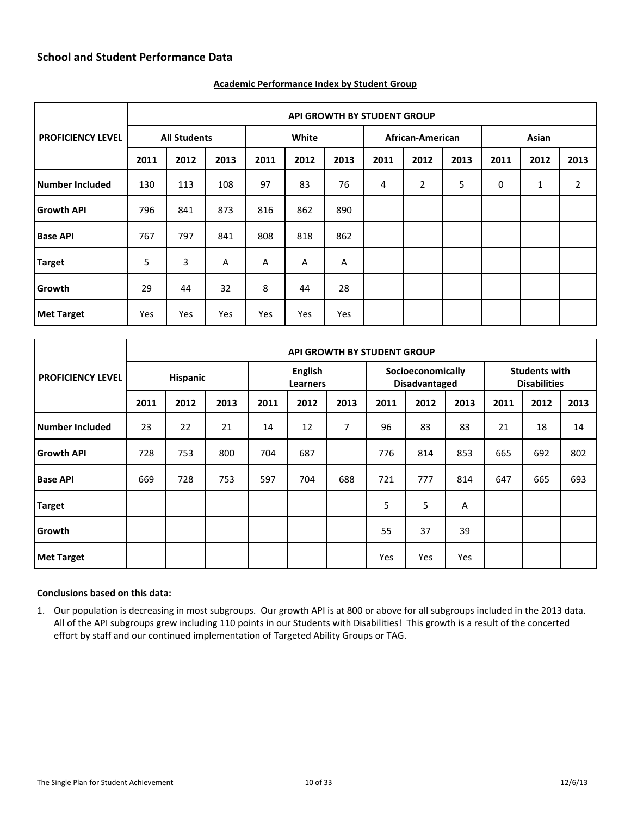<span id="page-9-0"></span>

|                          |      |                     |                |       |      |      | <b>API GROWTH BY STUDENT GROUP</b> |                |      |       |      |                |
|--------------------------|------|---------------------|----------------|-------|------|------|------------------------------------|----------------|------|-------|------|----------------|
| <b>PROFICIENCY LEVEL</b> |      | <b>All Students</b> |                | White |      |      | African-American                   |                |      | Asian |      |                |
|                          | 2011 | 2012                | 2013           | 2011  | 2012 | 2013 | 2011                               | 2012           | 2013 | 2011  | 2012 | 2013           |
| Number Included          | 130  | 113                 | 108            | 97    | 83   | 76   | 4                                  | $\overline{2}$ | 5    | 0     | 1    | $\overline{2}$ |
| <b>Growth API</b>        | 796  | 841                 | 873            | 816   | 862  | 890  |                                    |                |      |       |      |                |
| <b>Base API</b>          | 767  | 797                 | 841            | 808   | 818  | 862  |                                    |                |      |       |      |                |
| <b>Target</b>            | 5    | 3                   | $\overline{A}$ | A     | A    | A    |                                    |                |      |       |      |                |
| Growth                   | 29   | 44                  | 32             | 8     | 44   | 28   |                                    |                |      |       |      |                |
| Met Target               | Yes  | Yes                 | Yes            | Yes   | Yes  | Yes  |                                    |                |      |       |      |                |

#### <span id="page-9-1"></span>**Academic Performance Index by Student Group**

|                          |          | <b>API GROWTH BY STUDENT GROUP</b> |      |                            |      |      |                                           |      |      |                                             |      |      |  |  |
|--------------------------|----------|------------------------------------|------|----------------------------|------|------|-------------------------------------------|------|------|---------------------------------------------|------|------|--|--|
| <b>PROFICIENCY LEVEL</b> | Hispanic |                                    |      | English<br><b>Learners</b> |      |      | Socioeconomically<br><b>Disadvantaged</b> |      |      | <b>Students with</b><br><b>Disabilities</b> |      |      |  |  |
|                          | 2011     | 2012                               | 2013 | 2011                       | 2012 | 2013 | 2011                                      | 2012 | 2013 | 2011                                        | 2012 | 2013 |  |  |
| Number Included          | 23       | 22                                 | 21   | 14                         | 12   | 7    | 96                                        | 83   | 83   | 21                                          | 18   | 14   |  |  |
| <b>Growth API</b>        | 728      | 753                                | 800  | 704                        | 687  |      | 776                                       | 814  | 853  | 665                                         | 692  | 802  |  |  |
| <b>Base API</b>          | 669      | 728                                | 753  | 597                        | 704  | 688  | 721                                       | 777  | 814  | 647                                         | 665  | 693  |  |  |
| <b>Target</b>            |          |                                    |      |                            |      |      | 5                                         | 5    | A    |                                             |      |      |  |  |
| Growth                   |          |                                    |      |                            |      |      | 55                                        | 37   | 39   |                                             |      |      |  |  |
| <b>Met Target</b>        |          |                                    |      |                            |      |      | Yes                                       | Yes  | Yes  |                                             |      |      |  |  |

#### **Conclusions based on this data:**

1. Our population is decreasing in most subgroups. Our growth API is at 800 or above for all subgroups included in the 2013 data. All of the API subgroups grew including 110 points in our Students with Disabilities! This growth is a result of the concerted effort by staff and our continued implementation of Targeted Ability Groups or TAG.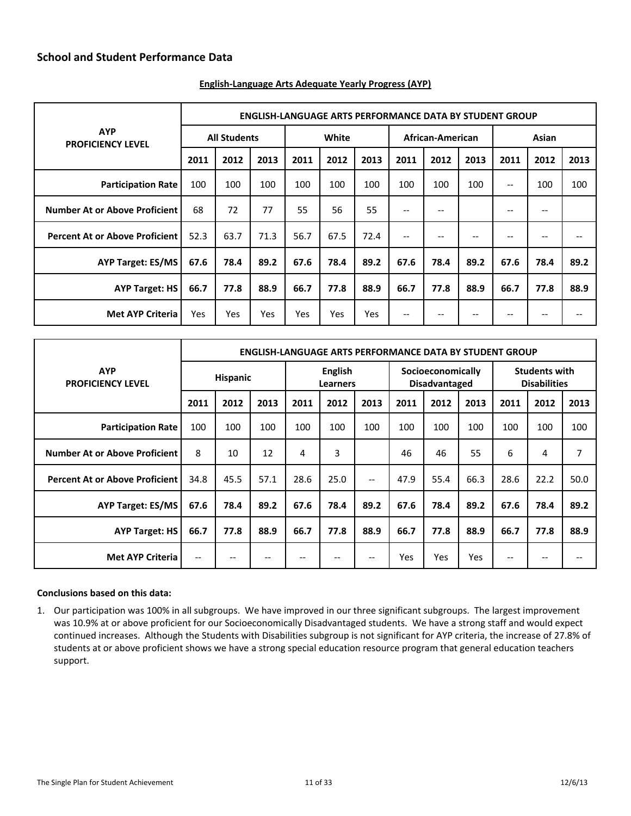|                                        |                     | <b>ENGLISH-LANGUAGE ARTS PERFORMANCE DATA BY STUDENT GROUP</b> |      |      |            |      |                   |                  |      |                   |       |      |  |
|----------------------------------------|---------------------|----------------------------------------------------------------|------|------|------------|------|-------------------|------------------|------|-------------------|-------|------|--|
| <b>AYP</b><br><b>PROFICIENCY LEVEL</b> | <b>All Students</b> |                                                                |      |      | White      |      |                   | African-American |      |                   | Asian |      |  |
|                                        | 2011                | 2012                                                           | 2013 | 2011 | 2012       | 2013 | 2011              | 2012             | 2013 | 2011              | 2012  | 2013 |  |
| <b>Participation Rate</b>              | 100                 | 100                                                            | 100  | 100  | 100        | 100  | 100               | 100              | 100  | $\qquad \qquad -$ | 100   | 100  |  |
| <b>Number At or Above Proficient</b>   | 68                  | 72                                                             | 77   | 55   | 56         | 55   | $\qquad \qquad -$ | --               |      | $\qquad \qquad -$ | --    |      |  |
| <b>Percent At or Above Proficient</b>  | 52.3                | 63.7                                                           | 71.3 | 56.7 | 67.5       | 72.4 | --                | --               | --   | $- -$             | --    |      |  |
| <b>AYP Target: ES/MS</b>               | 67.6                | 78.4                                                           | 89.2 | 67.6 | 78.4       | 89.2 | 67.6              | 78.4             | 89.2 | 67.6              | 78.4  | 89.2 |  |
| <b>AYP Target: HS</b>                  | 66.7                | 77.8                                                           | 88.9 | 66.7 | 77.8       | 88.9 | 66.7              | 77.8             | 88.9 | 66.7              | 77.8  | 88.9 |  |
| <b>Met AYP Criteria</b>                | Yes                 | Yes                                                            | Yes  | Yes  | <b>Yes</b> | Yes  | $\qquad \qquad -$ | --               | --   | $- -$             | --    |      |  |

#### <span id="page-10-0"></span>**English-Language Arts Adequate Yearly Progress (AYP)**

|                                        | <b>ENGLISH-LANGUAGE ARTS PERFORMANCE DATA BY STUDENT GROUP</b> |      |      |                            |      |                          |                                           |      |      |                                             |      |      |
|----------------------------------------|----------------------------------------------------------------|------|------|----------------------------|------|--------------------------|-------------------------------------------|------|------|---------------------------------------------|------|------|
| <b>AYP</b><br><b>PROFICIENCY LEVEL</b> | <b>Hispanic</b>                                                |      |      | English<br><b>Learners</b> |      |                          | Socioeconomically<br><b>Disadvantaged</b> |      |      | <b>Students with</b><br><b>Disabilities</b> |      |      |
|                                        | 2011                                                           | 2012 | 2013 | 2011                       | 2012 | 2013                     | 2011                                      | 2012 | 2013 | 2011                                        | 2012 | 2013 |
| <b>Participation Rate</b>              | 100                                                            | 100  | 100  | 100                        | 100  | 100                      | 100                                       | 100  | 100  | 100                                         | 100  | 100  |
| <b>Number At or Above Proficient</b>   | 8                                                              | 10   | 12   | 4                          | 3    |                          | 46                                        | 46   | 55   | 6                                           | 4    | 7    |
| <b>Percent At or Above Proficient</b>  | 34.8                                                           | 45.5 | 57.1 | 28.6                       | 25.0 | $\overline{\phantom{a}}$ | 47.9                                      | 55.4 | 66.3 | 28.6                                        | 22.2 | 50.0 |
| <b>AYP Target: ES/MS</b>               | 67.6                                                           | 78.4 | 89.2 | 67.6                       | 78.4 | 89.2                     | 67.6                                      | 78.4 | 89.2 | 67.6                                        | 78.4 | 89.2 |
| <b>AYP Target: HS</b>                  | 66.7                                                           | 77.8 | 88.9 | 66.7                       | 77.8 | 88.9                     | 66.7                                      | 77.8 | 88.9 | 66.7                                        | 77.8 | 88.9 |
| <b>Met AYP Criteria</b>                | $-$                                                            | --   |      | --                         | --   | $-$                      | Yes                                       | Yes  | Yes  | --                                          | --   | --   |

#### **Conclusions based on this data:**

1. Our participation was 100% in all subgroups. We have improved in our three significant subgroups. The largest improvement was 10.9% at or above proficient for our Socioeconomically Disadvantaged students. We have a strong staff and would expect continued increases. Although the Students with Disabilities subgroup is not significant for AYP criteria, the increase of 27.8% of students at or above proficient shows we have a strong special education resource program that general education teachers support.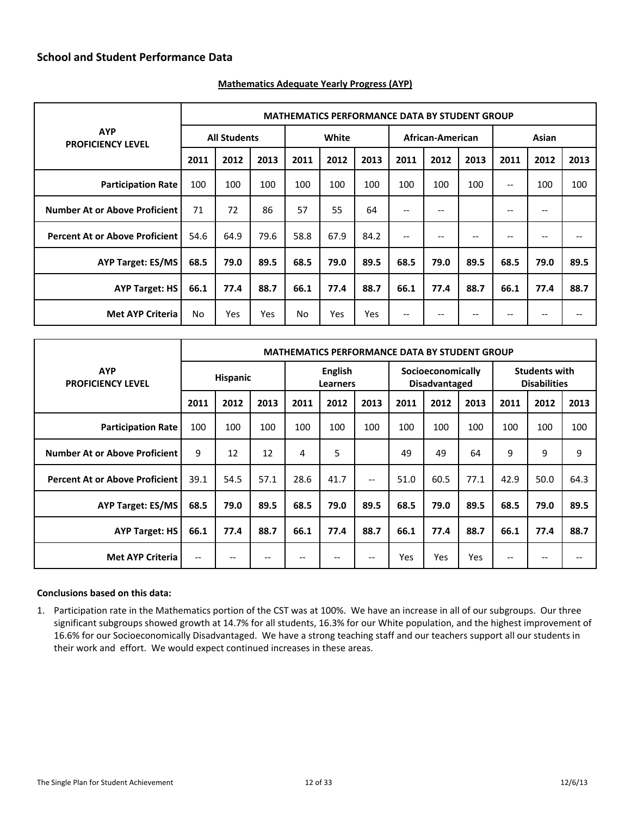|                                        |                     | <b>MATHEMATICS PERFORMANCE DATA BY STUDENT GROUP</b> |      |      |       |      |                                       |                  |      |                   |       |      |  |
|----------------------------------------|---------------------|------------------------------------------------------|------|------|-------|------|---------------------------------------|------------------|------|-------------------|-------|------|--|
| <b>AYP</b><br><b>PROFICIENCY LEVEL</b> | <b>All Students</b> |                                                      |      |      | White |      |                                       | African-American |      |                   | Asian |      |  |
|                                        | 2011                | 2012                                                 | 2013 | 2011 | 2012  | 2013 | 2011                                  | 2012             | 2013 | 2011              | 2012  | 2013 |  |
| <b>Participation Rate</b>              | 100                 | 100                                                  | 100  | 100  | 100   | 100  | 100                                   | 100              | 100  | $\qquad \qquad -$ | 100   | 100  |  |
| <b>Number At or Above Proficient</b>   | 71                  | 72                                                   | 86   | 57   | 55    | 64   | $-$                                   | --               |      | $- -$             | --    |      |  |
| <b>Percent At or Above Proficient</b>  | 54.6                | 64.9                                                 | 79.6 | 58.8 | 67.9  | 84.2 | $-$                                   | --               | $-$  | $- -$             | --    |      |  |
| <b>AYP Target: ES/MS</b>               | 68.5                | 79.0                                                 | 89.5 | 68.5 | 79.0  | 89.5 | 68.5                                  | 79.0             | 89.5 | 68.5              | 79.0  | 89.5 |  |
| <b>AYP Target: HS</b>                  | 66.1                | 77.4                                                 | 88.7 | 66.1 | 77.4  | 88.7 | 66.1                                  | 77.4             | 88.7 | 66.1              | 77.4  | 88.7 |  |
| <b>Met AYP Criteria</b>                | No.                 | <b>Yes</b>                                           | Yes  | No.  | Yes   | Yes  | $\hspace{0.05cm}$ – $\hspace{0.05cm}$ | --               | --   | --                | --    |      |  |

#### <span id="page-11-0"></span>**Mathematics Adequate Yearly Progress (AYP)**

|                                         | <b>MATHEMATICS PERFORMANCE DATA BY STUDENT GROUP</b> |      |      |                                   |      |                   |                                           |      |            |                                             |      |      |
|-----------------------------------------|------------------------------------------------------|------|------|-----------------------------------|------|-------------------|-------------------------------------------|------|------------|---------------------------------------------|------|------|
| <b>AYP</b><br><b>PROFICIENCY LEVEL</b>  | <b>Hispanic</b>                                      |      |      | <b>English</b><br><b>Learners</b> |      |                   | Socioeconomically<br><b>Disadvantaged</b> |      |            | <b>Students with</b><br><b>Disabilities</b> |      |      |
|                                         | 2011                                                 | 2012 | 2013 | 2011                              | 2012 | 2013              | 2011                                      | 2012 | 2013       | 2011                                        | 2012 | 2013 |
| <b>Participation Rate</b>               | 100                                                  | 100  | 100  | 100                               | 100  | 100               | 100                                       | 100  | 100        | 100                                         | 100  | 100  |
| <b>Number At or Above Proficient</b>    | 9                                                    | 12   | 12   | 4                                 | 5    |                   | 49                                        | 49   | 64         | 9                                           | 9    | 9    |
| <b>Percent At or Above Proficient  </b> | 39.1                                                 | 54.5 | 57.1 | 28.6                              | 41.7 | $\qquad \qquad -$ | 51.0                                      | 60.5 | 77.1       | 42.9                                        | 50.0 | 64.3 |
| <b>AYP Target: ES/MS</b>                | 68.5                                                 | 79.0 | 89.5 | 68.5                              | 79.0 | 89.5              | 68.5                                      | 79.0 | 89.5       | 68.5                                        | 79.0 | 89.5 |
| <b>AYP Target: HS</b>                   | 66.1                                                 | 77.4 | 88.7 | 66.1                              | 77.4 | 88.7              | 66.1                                      | 77.4 | 88.7       | 66.1                                        | 77.4 | 88.7 |
| <b>Met AYP Criteria</b>                 | $\overline{\phantom{m}}$                             | --   | --   | --                                | --   | $- -$             | Yes                                       | Yes  | <b>Yes</b> | $- -$                                       | --   | --   |

#### **Conclusions based on this data:**

1. Participation rate in the Mathematics portion of the CST was at 100%. We have an increase in all of our subgroups. Our three significant subgroups showed growth at 14.7% for all students, 16.3% for our White population, and the highest improvement of 16.6% for our Socioeconomically Disadvantaged. We have a strong teaching staff and our teachers support all our students in their work and effort. We would expect continued increases in these areas.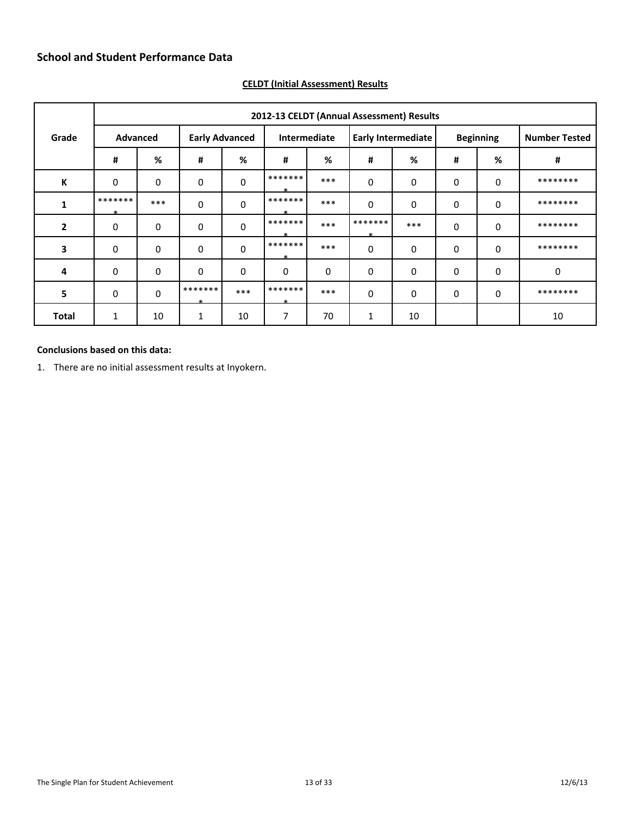|                |              |                                          |                   |             |                    |       | 2012-13 CELDT (Annual Assessment) Results |             |                  |   |                      |
|----------------|--------------|------------------------------------------|-------------------|-------------|--------------------|-------|-------------------------------------------|-------------|------------------|---|----------------------|
| Grade          |              | <b>Early Advanced</b><br><b>Advanced</b> |                   |             | Intermediate       |       | <b>Early Intermediate</b>                 |             | <b>Beginning</b> |   | <b>Number Tested</b> |
|                | #            | %                                        | #                 | %           | #                  | %     | #                                         | %           | #                | % | #                    |
| К              | $\mathbf 0$  | 0                                        | 0                 | $\mathbf 0$ | *******            | ***   | $\mathbf 0$                               | 0           | 0                | 0 | ********             |
| 1              | *******      | $***$                                    | 0                 | $\mathbf 0$ | *******            | ***   | $\mathbf 0$                               | 0           | 0                | 0 | ********             |
| $\overline{2}$ | $\Omega$     | 0                                        | 0                 | $\mathbf 0$ | *******<br>طه      | ***   | *******<br>$-1$                           | $***$       | $\mathbf 0$      | 0 | ********             |
| 3              | $\mathbf{0}$ | 0                                        | 0                 | $\mathbf 0$ | *******<br>$\star$ | $***$ | $\mathbf 0$                               | 0           | 0                | 0 | ********             |
| 4              | $\mathbf{0}$ | $\mathbf 0$                              | 0                 | $\mathbf 0$ | $\mathbf 0$        | 0     | 0                                         | $\mathbf 0$ | 0                | 0 | 0                    |
| 5              | $\mathbf{0}$ | $\mathbf 0$                              | *******<br>$\ast$ | $***$       | *******<br>$\ast$  | ***   | $\Omega$                                  | $\mathbf 0$ | $\mathbf 0$      | 0 | ********             |
| <b>Total</b>   | 1            | 10                                       | 1                 | 10          | 7                  | 70    | 1                                         | 10          |                  |   | 10                   |

# <span id="page-12-0"></span>**CELDT (Initial Assessment) Results**

#### **Conclusions based on this data:**

1. There are no initial assessment results at Inyokern.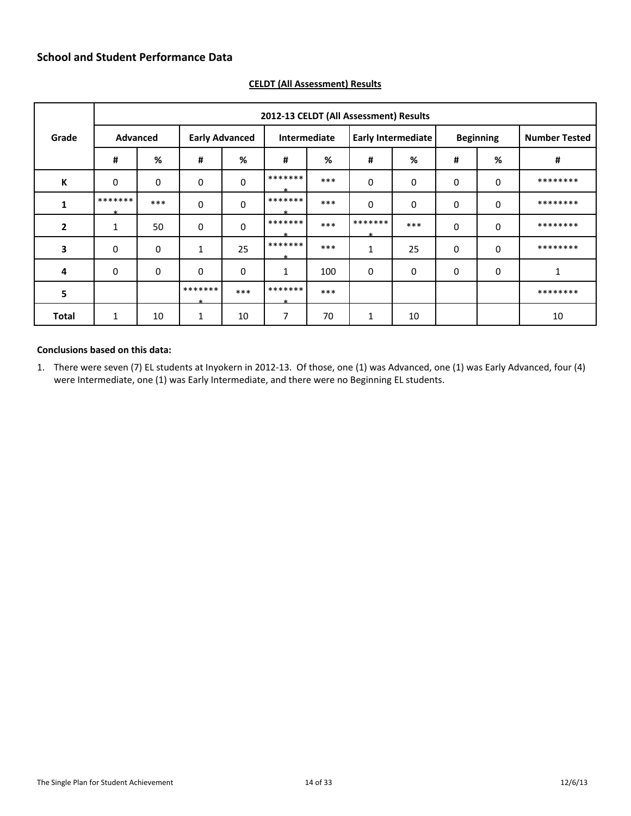|                |                 |       |                       |             |                    |       | 2012-13 CELDT (All Assessment) Results |       |                  |             |                      |
|----------------|-----------------|-------|-----------------------|-------------|--------------------|-------|----------------------------------------|-------|------------------|-------------|----------------------|
| Grade          | <b>Advanced</b> |       | <b>Early Advanced</b> |             | Intermediate       |       | <b>Early Intermediate</b>              |       | <b>Beginning</b> |             | <b>Number Tested</b> |
|                | #               | %     | #                     | %           | #                  | %     | #                                      | %     | #                | %           | #                    |
| К              | $\mathbf 0$     | 0     | 0                     | 0           | *******            | ***   | $\mathbf 0$                            | 0     | 0                | 0           | ********             |
| 1              | *******         | $***$ | 0                     | $\mathbf 0$ | *******<br>÷       | $***$ | $\mathbf 0$                            | 0     | $\mathbf 0$      | $\mathbf 0$ | ********             |
| $\overline{2}$ | 1               | 50    | 0                     | $\mathbf 0$ | *******<br>J.      | $***$ | *******<br>÷                           | $***$ | $\mathbf 0$      | 0           | ********             |
| 3              | $\mathbf 0$     | 0     | 1                     | 25          | *******<br>$\star$ | ***   | 1                                      | 25    | 0                | 0           | ********             |
| 4              | $\mathbf{0}$    | 0     | 0                     | $\mathbf 0$ | 1                  | 100   | 0                                      | 0     | 0                | 0           | 1                    |
| 5              |                 |       | *******<br>$\ast$     | $***$       | *******<br>$\ast$  | ***   |                                        |       |                  |             | ********             |
| <b>Total</b>   | 1               | 10    | 1                     | 10          | 7                  | 70    | 1                                      | 10    |                  |             | 10                   |

### <span id="page-13-0"></span>**CELDT (All Assessment) Results**

#### **Conclusions based on this data:**

1. There were seven (7) EL students at Inyokern in 2012-13. Of those, one (1) was Advanced, one (1) was Early Advanced, four (4) were Intermediate, one (1) was Early Intermediate, and there were no Beginning EL students.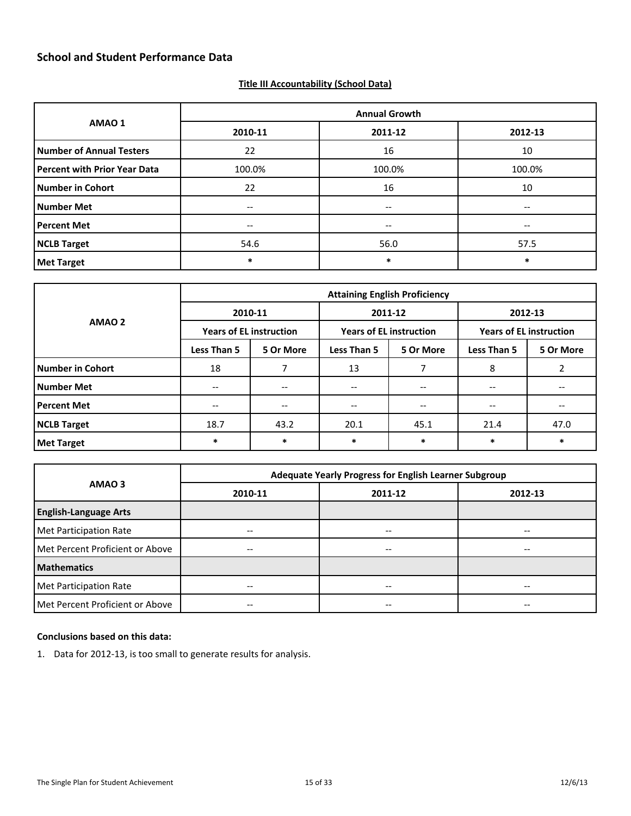#### <span id="page-14-0"></span>**Title III Accountability (School Data)**

|                                     |         | <b>Annual Growth</b>                  |         |
|-------------------------------------|---------|---------------------------------------|---------|
| AMAO <sub>1</sub>                   | 2010-11 | 2011-12                               | 2012-13 |
| <b>Number of Annual Testers</b>     | 22      | 16                                    | 10      |
| <b>Percent with Prior Year Data</b> | 100.0%  | 100.0%                                | 100.0%  |
| <b>Number in Cohort</b>             | 22      | 16                                    | 10      |
| <b>Number Met</b>                   | --      | $\hspace{0.05cm}$ – $\hspace{0.05cm}$ | --      |
| <b>Percent Met</b>                  | --      | $- -$                                 | --      |
| <b>NCLB Target</b>                  | 54.6    | 56.0                                  | 57.5    |
| <b>Met Target</b>                   | *       | $\ast$                                | $\ast$  |

|                         | <b>Attaining English Proficiency</b> |           |                                       |                          |                                |           |  |  |
|-------------------------|--------------------------------------|-----------|---------------------------------------|--------------------------|--------------------------------|-----------|--|--|
| AMAO <sub>2</sub>       | 2010-11                              |           | 2011-12                               |                          | 2012-13                        |           |  |  |
|                         | <b>Years of EL instruction</b>       |           | <b>Years of EL instruction</b>        |                          | <b>Years of EL instruction</b> |           |  |  |
|                         | <b>Less Than 5</b>                   | 5 Or More | <b>Less Than 5</b>                    | 5 Or More                | <b>Less Than 5</b>             | 5 Or More |  |  |
| <b>Number in Cohort</b> | 18                                   |           | 13                                    |                          | 8                              |           |  |  |
| <b>Number Met</b>       | $\hspace{0.05cm} \textbf{--}$        | $- -$     | $\hspace{0.05cm}$ – $\hspace{0.05cm}$ | $\overline{\phantom{m}}$ | $- -$                          | --        |  |  |
| <b>Percent Met</b>      | --                                   |           | --                                    |                          |                                |           |  |  |
| <b>NCLB Target</b>      | 18.7                                 | 43.2      | 20.1                                  | 45.1                     | 21.4                           | 47.0      |  |  |
| <b>Met Target</b>       | $\ast$                               | $\ast$    | *                                     | $\ast$                   | *                              | $\ast$    |  |  |

|                                 | Adequate Yearly Progress for English Learner Subgroup |         |         |  |  |  |  |
|---------------------------------|-------------------------------------------------------|---------|---------|--|--|--|--|
| AMAO <sub>3</sub>               | 2010-11                                               | 2011-12 | 2012-13 |  |  |  |  |
| <b>English-Language Arts</b>    |                                                       |         |         |  |  |  |  |
| Met Participation Rate          |                                                       | --      | --      |  |  |  |  |
| Met Percent Proficient or Above | $- -$                                                 | --      | --      |  |  |  |  |
| <b>Mathematics</b>              |                                                       |         |         |  |  |  |  |
| Met Participation Rate          | $- -$                                                 | --      | $- -$   |  |  |  |  |
| Met Percent Proficient or Above | $\hspace{0.05cm}$ – $\hspace{0.05cm}$                 | --      | --      |  |  |  |  |

### **Conclusions based on this data:**

1. Data for 2012-13, is too small to generate results for analysis.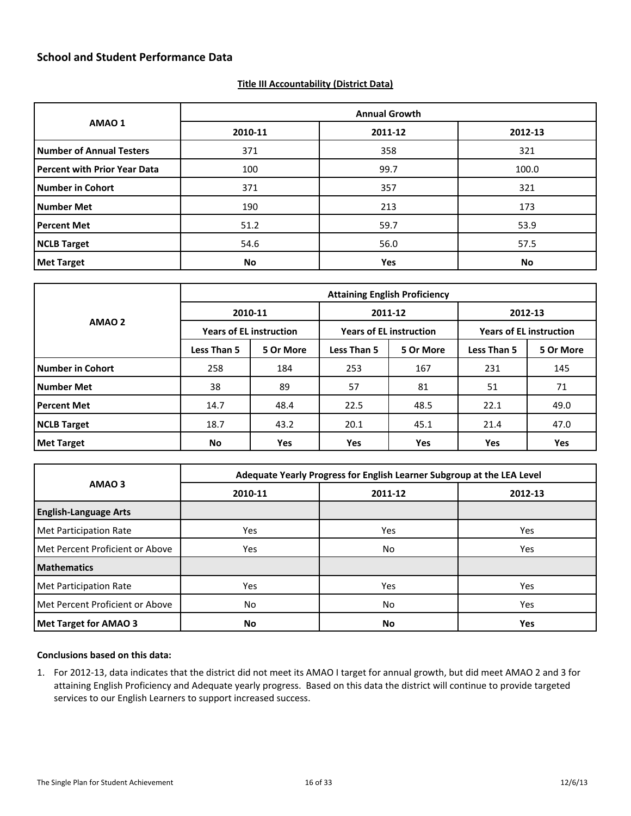#### <span id="page-15-0"></span>**Title III Accountability (District Data)**

|                                     | <b>Annual Growth</b> |         |         |  |  |  |  |
|-------------------------------------|----------------------|---------|---------|--|--|--|--|
| AMAO 1                              | 2010-11              | 2011-12 | 2012-13 |  |  |  |  |
| <b>Number of Annual Testers</b>     | 371                  | 358     | 321     |  |  |  |  |
| <b>Percent with Prior Year Data</b> | 100                  | 99.7    | 100.0   |  |  |  |  |
| <b>Number in Cohort</b>             | 371                  | 357     | 321     |  |  |  |  |
| <b>Number Met</b>                   | 190                  | 213     | 173     |  |  |  |  |
| <b>Percent Met</b>                  | 51.2                 | 59.7    | 53.9    |  |  |  |  |
| <b>NCLB Target</b>                  | 54.6                 | 56.0    | 57.5    |  |  |  |  |
| <b>Met Target</b>                   | <b>No</b>            | Yes     | No      |  |  |  |  |

|                         | <b>Attaining English Proficiency</b> |           |                                |           |                                |           |  |  |
|-------------------------|--------------------------------------|-----------|--------------------------------|-----------|--------------------------------|-----------|--|--|
| AMAO <sub>2</sub>       | 2010-11                              |           |                                | 2011-12   | 2012-13                        |           |  |  |
|                         | <b>Years of EL instruction</b>       |           | <b>Years of EL instruction</b> |           | <b>Years of EL instruction</b> |           |  |  |
|                         | Less Than 5                          | 5 Or More | <b>Less Than 5</b>             | 5 Or More | <b>Less Than 5</b>             | 5 Or More |  |  |
| <b>Number in Cohort</b> | 258                                  | 184       | 253                            | 167       | 231                            | 145       |  |  |
| <b>Number Met</b>       | 38                                   | 89        | 57                             | 81        | 51                             | 71        |  |  |
| <b>Percent Met</b>      | 14.7                                 | 48.4      | 22.5                           | 48.5      | 22.1                           | 49.0      |  |  |
| <b>NCLB Target</b>      | 18.7                                 | 43.2      | 20.1                           | 45.1      | 21.4                           | 47.0      |  |  |
| <b>Met Target</b>       | No                                   | Yes       | Yes                            | Yes       | <b>Yes</b>                     | Yes       |  |  |

|                                 | Adequate Yearly Progress for English Learner Subgroup at the LEA Level |         |         |  |  |  |  |
|---------------------------------|------------------------------------------------------------------------|---------|---------|--|--|--|--|
| AMAO <sub>3</sub>               | 2010-11                                                                | 2011-12 | 2012-13 |  |  |  |  |
| <b>English-Language Arts</b>    |                                                                        |         |         |  |  |  |  |
| Met Participation Rate          | Yes                                                                    | Yes     | Yes     |  |  |  |  |
| Met Percent Proficient or Above | Yes                                                                    | No.     | Yes     |  |  |  |  |
| <b>Mathematics</b>              |                                                                        |         |         |  |  |  |  |
| Met Participation Rate          | Yes                                                                    | Yes     | Yes     |  |  |  |  |
| Met Percent Proficient or Above | No                                                                     | No      | Yes     |  |  |  |  |
| <b>Met Target for AMAO 3</b>    | <b>No</b>                                                              | No      | Yes     |  |  |  |  |

#### **Conclusions based on this data:**

1. For 2012-13, data indicates that the district did not meet its AMAO I target for annual growth, but did meet AMAO 2 and 3 for attaining English Proficiency and Adequate yearly progress. Based on this data the district will continue to provide targeted services to our English Learners to support increased success.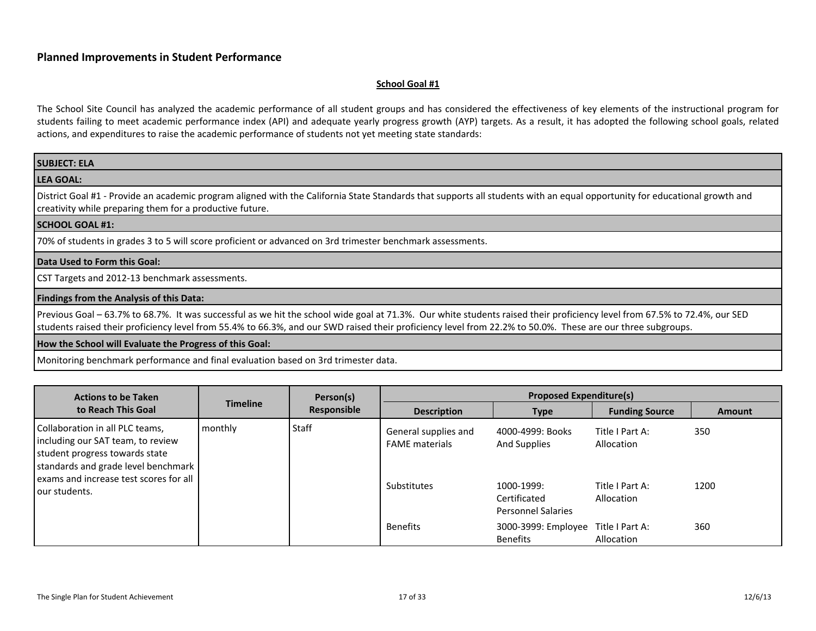#### <span id="page-16-1"></span>**School Goal #1**

<span id="page-16-0"></span>

| <b>SUBJECT: ELA</b>                                                                                                                                                                                                                                                                                                                      |
|------------------------------------------------------------------------------------------------------------------------------------------------------------------------------------------------------------------------------------------------------------------------------------------------------------------------------------------|
| <b>LEA GOAL:</b>                                                                                                                                                                                                                                                                                                                         |
| District Goal #1 - Provide an academic program aligned with the California State Standards that supports all students with an equal opportunity for educational growth and<br>creativity while preparing them for a productive future.                                                                                                   |
| <b>SCHOOL GOAL #1:</b>                                                                                                                                                                                                                                                                                                                   |
| 70% of students in grades 3 to 5 will score proficient or advanced on 3rd trimester benchmark assessments.                                                                                                                                                                                                                               |
| Data Used to Form this Goal:                                                                                                                                                                                                                                                                                                             |
| CST Targets and 2012-13 benchmark assessments.                                                                                                                                                                                                                                                                                           |
| Findings from the Analysis of this Data:                                                                                                                                                                                                                                                                                                 |
| Previous Goal - 63.7% to 68.7%. It was successful as we hit the school wide goal at 71.3%. Our white students raised their proficiency level from 67.5% to 72.4%, our SED<br>students raised their proficiency level from 55.4% to 66.3%, and our SWD raised their proficiency level from 22.2% to 50.0%. These are our three subgroups. |
| How the School will Evaluate the Progress of this Goal:                                                                                                                                                                                                                                                                                  |
| Monitoring benchmark performance and final evaluation based on 3rd trimester data.                                                                                                                                                                                                                                                       |

| <b>Actions to be Taken</b><br>to Reach This Goal                                                                                                                                                         |                 | <b>Proposed Expenditure(s)</b><br>Person(s) |                                                              |                                                                                             |                                                                |             |
|----------------------------------------------------------------------------------------------------------------------------------------------------------------------------------------------------------|-----------------|---------------------------------------------|--------------------------------------------------------------|---------------------------------------------------------------------------------------------|----------------------------------------------------------------|-------------|
|                                                                                                                                                                                                          | <b>Timeline</b> | Responsible                                 | <b>Description</b>                                           | <b>Type</b>                                                                                 | <b>Funding Source</b>                                          | Amount      |
| Collaboration in all PLC teams,<br>including our SAT team, to review<br>student progress towards state<br>standards and grade level benchmark<br>exams and increase test scores for all<br>our students. | monthly         | Staff                                       | General supplies and<br><b>FAME</b> materials<br>Substitutes | 4000-4999: Books<br>And Supplies<br>1000-1999:<br>Certificated<br><b>Personnel Salaries</b> | Title I Part A:<br>Allocation<br>Title I Part A:<br>Allocation | 350<br>1200 |
|                                                                                                                                                                                                          |                 |                                             | <b>Benefits</b>                                              | 3000-3999: Employee<br><b>Benefits</b>                                                      | Title I Part A:<br>Allocation                                  | 360         |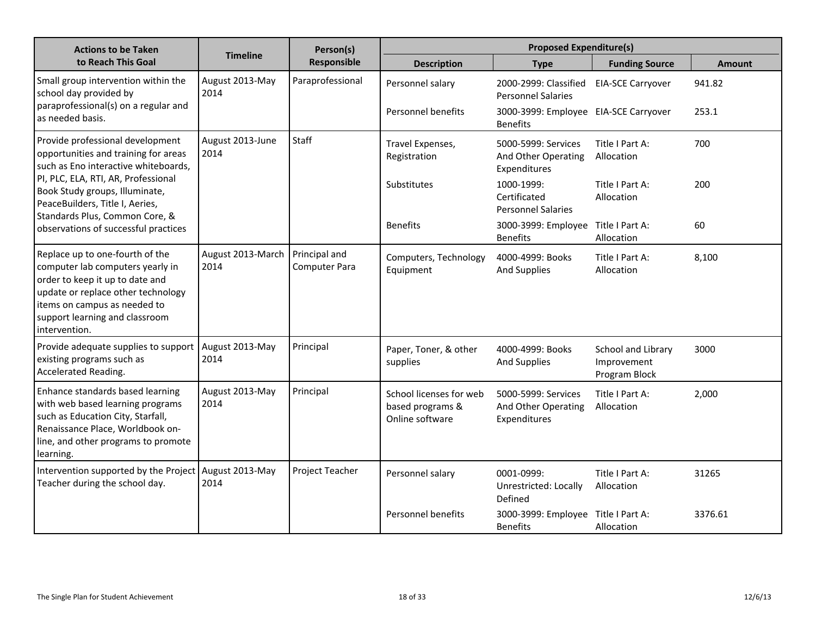| <b>Actions to be Taken</b>                                                                                                                                                                                                      |                           | Person(s)<br>Responsible       | <b>Proposed Expenditure(s)</b>                                 |                                                            |                                                    |               |
|---------------------------------------------------------------------------------------------------------------------------------------------------------------------------------------------------------------------------------|---------------------------|--------------------------------|----------------------------------------------------------------|------------------------------------------------------------|----------------------------------------------------|---------------|
| to Reach This Goal                                                                                                                                                                                                              | <b>Timeline</b>           |                                | <b>Description</b>                                             | <b>Type</b>                                                | <b>Funding Source</b>                              | <b>Amount</b> |
| Small group intervention within the<br>school day provided by<br>paraprofessional(s) on a regular and                                                                                                                           | August 2013-May<br>2014   | Paraprofessional               | Personnel salary                                               | 2000-2999: Classified<br><b>Personnel Salaries</b>         | <b>EIA-SCE Carryover</b>                           | 941.82        |
| as needed basis.                                                                                                                                                                                                                |                           |                                | Personnel benefits                                             | 3000-3999: Employee EIA-SCE Carryover<br><b>Benefits</b>   |                                                    | 253.1         |
| Provide professional development<br>opportunities and training for areas<br>such as Eno interactive whiteboards,                                                                                                                | August 2013-June<br>2014  | Staff                          | Travel Expenses,<br>Registration                               | 5000-5999: Services<br>And Other Operating<br>Expenditures | Title I Part A:<br>Allocation                      | 700           |
| PI, PLC, ELA, RTI, AR, Professional<br>Book Study groups, Illuminate,<br>PeaceBuilders, Title I, Aeries,<br>Standards Plus, Common Core, &                                                                                      |                           |                                | Substitutes                                                    | 1000-1999:<br>Certificated<br><b>Personnel Salaries</b>    | Title I Part A:<br>Allocation                      | 200           |
| observations of successful practices                                                                                                                                                                                            |                           |                                | <b>Benefits</b>                                                | 3000-3999: Employee Title I Part A:<br><b>Benefits</b>     | Allocation                                         | 60            |
| Replace up to one-fourth of the<br>computer lab computers yearly in<br>order to keep it up to date and<br>update or replace other technology<br>items on campus as needed to<br>support learning and classroom<br>intervention. | August 2013-March<br>2014 | Principal and<br>Computer Para | Computers, Technology<br>Equipment                             | 4000-4999: Books<br><b>And Supplies</b>                    | Title I Part A:<br>Allocation                      | 8,100         |
| Provide adequate supplies to support<br>existing programs such as<br>Accelerated Reading.                                                                                                                                       | August 2013-May<br>2014   | Principal                      | Paper, Toner, & other<br>supplies                              | 4000-4999: Books<br><b>And Supplies</b>                    | School and Library<br>Improvement<br>Program Block | 3000          |
| Enhance standards based learning<br>with web based learning programs<br>such as Education City, Starfall,<br>Renaissance Place, Worldbook on-<br>line, and other programs to promote<br>learning.                               | August 2013-May<br>2014   | Principal                      | School licenses for web<br>based programs &<br>Online software | 5000-5999: Services<br>And Other Operating<br>Expenditures | Title I Part A:<br>Allocation                      | 2,000         |
| Intervention supported by the Project<br>Teacher during the school day.                                                                                                                                                         | August 2013-May<br>2014   | Project Teacher                | Personnel salary                                               | 0001-0999:<br>Unrestricted: Locally<br>Defined             | Title I Part A:<br>Allocation                      | 31265         |
|                                                                                                                                                                                                                                 |                           |                                | Personnel benefits                                             | 3000-3999: Employee Title I Part A:<br><b>Benefits</b>     | Allocation                                         | 3376.61       |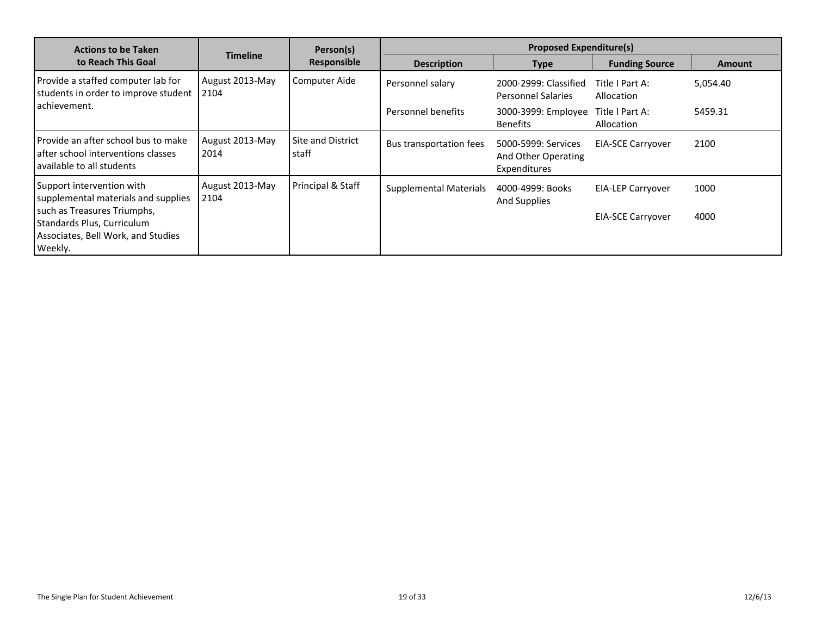| <b>Actions to be Taken</b>                                                                                 |                         |                            | Person(s)                     | <b>Proposed Expenditure(s)</b>                             |                               |               |  |
|------------------------------------------------------------------------------------------------------------|-------------------------|----------------------------|-------------------------------|------------------------------------------------------------|-------------------------------|---------------|--|
| to Reach This Goal                                                                                         | <b>Timeline</b>         | Responsible                | <b>Description</b>            | <b>Type</b>                                                | <b>Funding Source</b>         | <b>Amount</b> |  |
| Provide a staffed computer lab for<br>students in order to improve student                                 | August 2013-May<br>2104 | Computer Aide              | Personnel salary              | 2000-2999: Classified<br><b>Personnel Salaries</b>         | Title I Part A:<br>Allocation | 5,054.40      |  |
| achievement.                                                                                               |                         |                            | Personnel benefits            | 3000-3999: Employee<br><b>Benefits</b>                     | Title I Part A:<br>Allocation | 5459.31       |  |
| Provide an after school bus to make<br>after school interventions classes<br>available to all students     | August 2013-May<br>2014 | Site and District<br>staff | Bus transportation fees       | 5000-5999: Services<br>And Other Operating<br>Expenditures | <b>EIA-SCE Carryover</b>      | 2100          |  |
| Support intervention with<br>supplemental materials and supplies                                           | August 2013-May<br>2104 | Principal & Staff          | <b>Supplemental Materials</b> | 4000-4999: Books<br><b>And Supplies</b>                    | EIA-LEP Carryover             | 1000          |  |
| such as Treasures Triumphs,<br>Standards Plus, Curriculum<br>Associates, Bell Work, and Studies<br>Weekly. |                         |                            |                               |                                                            | <b>EIA-SCE Carryover</b>      | 4000          |  |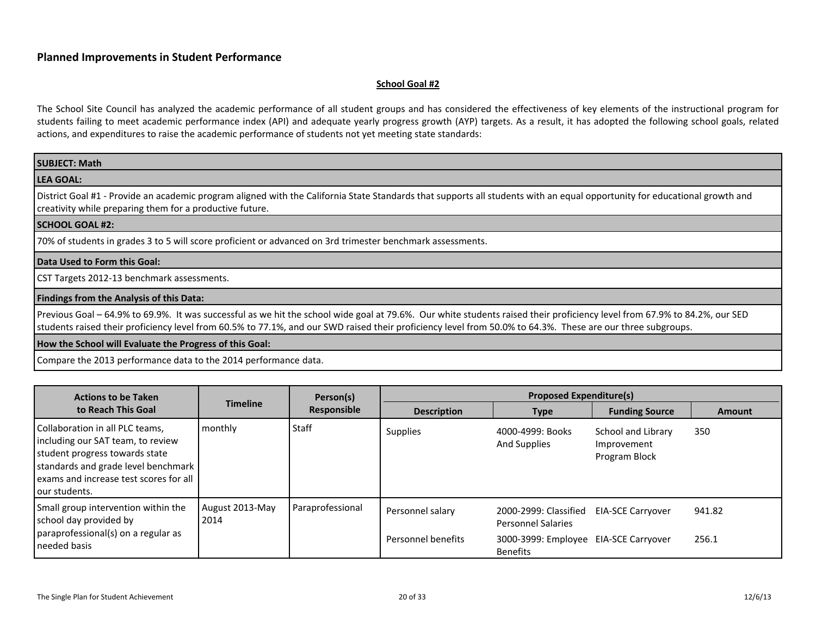#### <span id="page-19-0"></span>**School Goal #2**

The School Site Council has analyzed the academic performance of all student groups and has considered the effectiveness of key elements of the instructional program for students failing to meet academic performance index (API) and adequate yearly progress growth (AYP) targets. As a result, it has adopted the following school goals, related actions, and expenditures to raise the academic performance of students not yet meeting state standards:

| <b>SUBJECT: Math</b>                                                                                                                                                                                                                                                                                                                     |
|------------------------------------------------------------------------------------------------------------------------------------------------------------------------------------------------------------------------------------------------------------------------------------------------------------------------------------------|
| <b>LEA GOAL:</b>                                                                                                                                                                                                                                                                                                                         |
| District Goal #1 - Provide an academic program aligned with the California State Standards that supports all students with an equal opportunity for educational growth and<br>creativity while preparing them for a productive future.                                                                                                   |
| <b>SCHOOL GOAL #2:</b>                                                                                                                                                                                                                                                                                                                   |
| 70% of students in grades 3 to 5 will score proficient or advanced on 3rd trimester benchmark assessments.                                                                                                                                                                                                                               |
| Data Used to Form this Goal:                                                                                                                                                                                                                                                                                                             |
| CST Targets 2012-13 benchmark assessments.                                                                                                                                                                                                                                                                                               |
| Findings from the Analysis of this Data:                                                                                                                                                                                                                                                                                                 |
| Previous Goal - 64.9% to 69.9%. It was successful as we hit the school wide goal at 79.6%. Our white students raised their proficiency level from 67.9% to 84.2%, our SED<br>students raised their proficiency level from 60.5% to 77.1%, and our SWD raised their proficiency level from 50.0% to 64.3%. These are our three subgroups. |
| How the School will Evaluate the Progress of this Goal:                                                                                                                                                                                                                                                                                  |

Compare the 2013 performance data to the 2014 performance data.

| <b>Actions to be Taken</b>                                                                                                                                                                                 |                         | Person(s)        |                    |                                                          |                                                    |               |
|------------------------------------------------------------------------------------------------------------------------------------------------------------------------------------------------------------|-------------------------|------------------|--------------------|----------------------------------------------------------|----------------------------------------------------|---------------|
| to Reach This Goal                                                                                                                                                                                         | <b>Timeline</b>         | Responsible      | <b>Description</b> | Type                                                     | <b>Funding Source</b>                              | <b>Amount</b> |
| Collaboration in all PLC teams,<br>including our SAT team, to review<br>student progress towards state<br>standards and grade level benchmark<br>exams and increase test scores for all<br>l our students. | monthly                 | <b>Staff</b>     | <b>Supplies</b>    | 4000-4999: Books<br><b>And Supplies</b>                  | School and Library<br>Improvement<br>Program Block | 350           |
| Small group intervention within the<br>school day provided by                                                                                                                                              | August 2013-May<br>2014 | Paraprofessional | Personnel salary   | 2000-2999: Classified<br><b>Personnel Salaries</b>       | EIA-SCE Carryover                                  | 941.82        |
| paraprofessional(s) on a regular as<br>I needed basis                                                                                                                                                      |                         |                  | Personnel benefits | 3000-3999: Employee EIA-SCE Carryover<br><b>Benefits</b> |                                                    | 256.1         |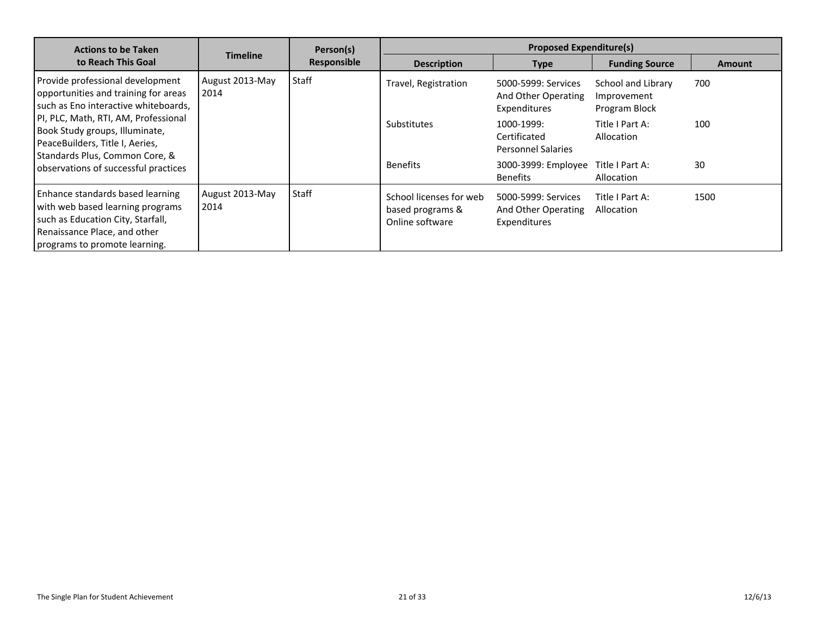| <b>Actions to be Taken</b>                                                                                                                                                                                                                                                                              |                         |             | Person(s)                                                      |                                                            | <b>Proposed Expenditure(s)</b>                     |               |  |
|---------------------------------------------------------------------------------------------------------------------------------------------------------------------------------------------------------------------------------------------------------------------------------------------------------|-------------------------|-------------|----------------------------------------------------------------|------------------------------------------------------------|----------------------------------------------------|---------------|--|
| to Reach This Goal                                                                                                                                                                                                                                                                                      | <b>Timeline</b>         | Responsible | <b>Description</b>                                             | <b>Type</b>                                                | <b>Funding Source</b>                              | <b>Amount</b> |  |
| Provide professional development<br>opportunities and training for areas<br>such as Eno interactive whiteboards,<br>PI, PLC, Math, RTI, AM, Professional<br>Book Study groups, Illuminate,<br>PeaceBuilders, Title I, Aeries,<br>Standards Plus, Common Core, &<br>observations of successful practices | August 2013-May<br>2014 | Staff       | Travel, Registration                                           | 5000-5999: Services<br>And Other Operating<br>Expenditures | School and Library<br>Improvement<br>Program Block | 700           |  |
|                                                                                                                                                                                                                                                                                                         |                         |             | <b>Substitutes</b>                                             | 1000-1999:<br>Certificated<br><b>Personnel Salaries</b>    | Title I Part A:<br>Allocation                      | 100           |  |
|                                                                                                                                                                                                                                                                                                         |                         |             | <b>Benefits</b>                                                | 3000-3999: Employee<br><b>Benefits</b>                     | Title I Part A:<br>Allocation                      | 30            |  |
| Enhance standards based learning<br>with web based learning programs<br>such as Education City, Starfall,<br>Renaissance Place, and other<br>programs to promote learning.                                                                                                                              | August 2013-May<br>2014 | Staff       | School licenses for web<br>based programs &<br>Online software | 5000-5999: Services<br>And Other Operating<br>Expenditures | Title I Part A:<br>Allocation                      | 1500          |  |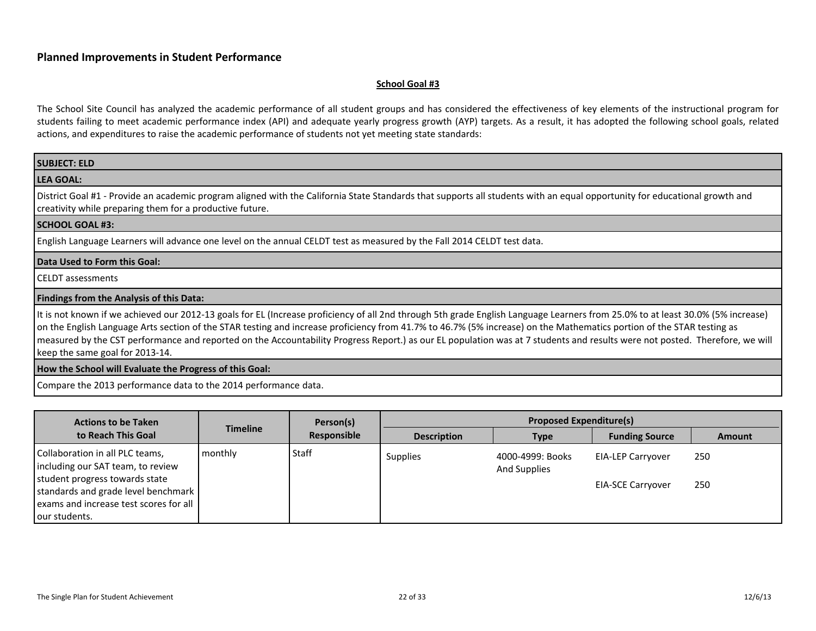#### <span id="page-21-0"></span>**School Goal #3**

The School Site Council has analyzed the academic performance of all student groups and has considered the effectiveness of key elements of the instructional program for students failing to meet academic performance index (API) and adequate yearly progress growth (AYP) targets. As a result, it has adopted the following school goals, related actions, and expenditures to raise the academic performance of students not yet meeting state standards:

| <b>SUBJECT: ELD</b>                                                                                                                                                                                                                                                                                                                                                                                                                                                                                                                                                        |
|----------------------------------------------------------------------------------------------------------------------------------------------------------------------------------------------------------------------------------------------------------------------------------------------------------------------------------------------------------------------------------------------------------------------------------------------------------------------------------------------------------------------------------------------------------------------------|
| <b>LEA GOAL:</b>                                                                                                                                                                                                                                                                                                                                                                                                                                                                                                                                                           |
| District Goal #1 - Provide an academic program aligned with the California State Standards that supports all students with an equal opportunity for educational growth and<br>creativity while preparing them for a productive future.                                                                                                                                                                                                                                                                                                                                     |
| <b>SCHOOL GOAL #3:</b>                                                                                                                                                                                                                                                                                                                                                                                                                                                                                                                                                     |
| English Language Learners will advance one level on the annual CELDT test as measured by the Fall 2014 CELDT test data.                                                                                                                                                                                                                                                                                                                                                                                                                                                    |
| Data Used to Form this Goal:                                                                                                                                                                                                                                                                                                                                                                                                                                                                                                                                               |
| I CELDT assessments                                                                                                                                                                                                                                                                                                                                                                                                                                                                                                                                                        |
| Findings from the Analysis of this Data:                                                                                                                                                                                                                                                                                                                                                                                                                                                                                                                                   |
| It is not known if we achieved our 2012-13 goals for EL (Increase proficiency of all 2nd through 5th grade English Language Learners from 25.0% to at least 30.0% (5% increase)<br>on the English Language Arts section of the STAR testing and increase proficiency from 41.7% to 46.7% (5% increase) on the Mathematics portion of the STAR testing as<br>measured by the CST performance and reported on the Accountability Progress Report.) as our EL population was at 7 students and results were not posted. Therefore, we will<br>keep the same goal for 2013-14. |
| How the School will Evaluate the Progress of this Goal:                                                                                                                                                                                                                                                                                                                                                                                                                                                                                                                    |
|                                                                                                                                                                                                                                                                                                                                                                                                                                                                                                                                                                            |

Compare the 2013 performance data to the 2014 performance data.

| <b>Actions to be Taken</b>                                                                                                                                                                               |                 | Person(s)   | <b>Proposed Expenditure(s)</b> |                                         |                                                      |               |  |
|----------------------------------------------------------------------------------------------------------------------------------------------------------------------------------------------------------|-----------------|-------------|--------------------------------|-----------------------------------------|------------------------------------------------------|---------------|--|
| to Reach This Goal                                                                                                                                                                                       | <b>Timeline</b> | Responsible | <b>Description</b>             | <b>Type</b>                             | <b>Funding Source</b>                                | <b>Amount</b> |  |
| Collaboration in all PLC teams,<br>including our SAT team, to review<br>student progress towards state<br>standards and grade level benchmark<br>exams and increase test scores for all<br>our students. | monthly         | Staff       | <b>Supplies</b>                | 4000-4999: Books<br><b>And Supplies</b> | <b>EIA-LEP Carryover</b><br><b>EIA-SCE Carryover</b> | 250<br>250    |  |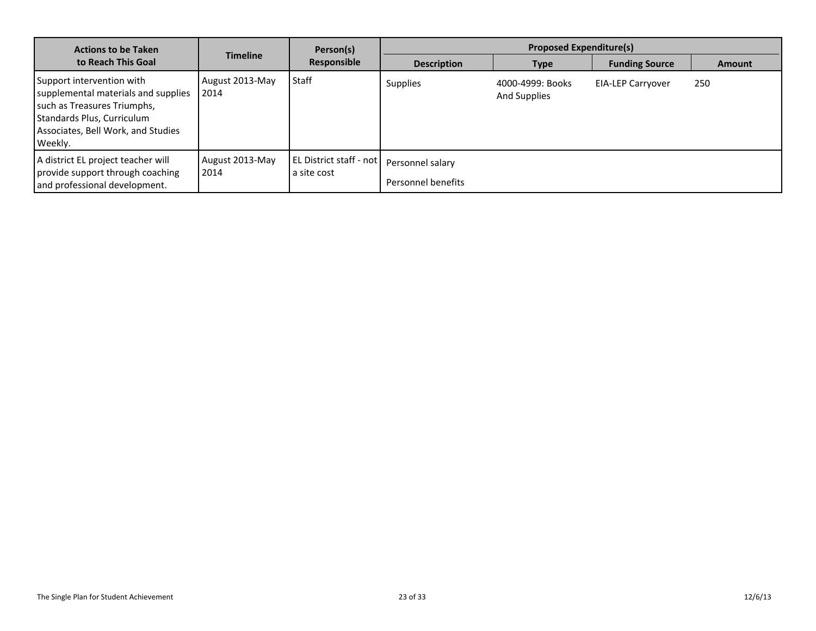| <b>Actions to be Taken</b>                                                                                                                                                     |                         | Person(s)                                |                                        | <b>Proposed Expenditure(s)</b>   |                          |               |
|--------------------------------------------------------------------------------------------------------------------------------------------------------------------------------|-------------------------|------------------------------------------|----------------------------------------|----------------------------------|--------------------------|---------------|
| to Reach This Goal                                                                                                                                                             | <b>Timeline</b>         | Responsible                              | <b>Description</b>                     | <b>Type</b>                      | <b>Funding Source</b>    | <b>Amount</b> |
| Support intervention with<br>supplemental materials and supplies<br>such as Treasures Triumphs,<br>Standards Plus, Curriculum<br>Associates, Bell Work, and Studies<br>Weekly. | August 2013-May<br>2014 | Staff                                    | <b>Supplies</b>                        | 4000-4999: Books<br>And Supplies | <b>EIA-LEP Carryover</b> | 250           |
| A district EL project teacher will<br>provide support through coaching<br>and professional development.                                                                        | August 2013-May<br>2014 | l EL District staff - not<br>a site cost | Personnel salary<br>Personnel benefits |                                  |                          |               |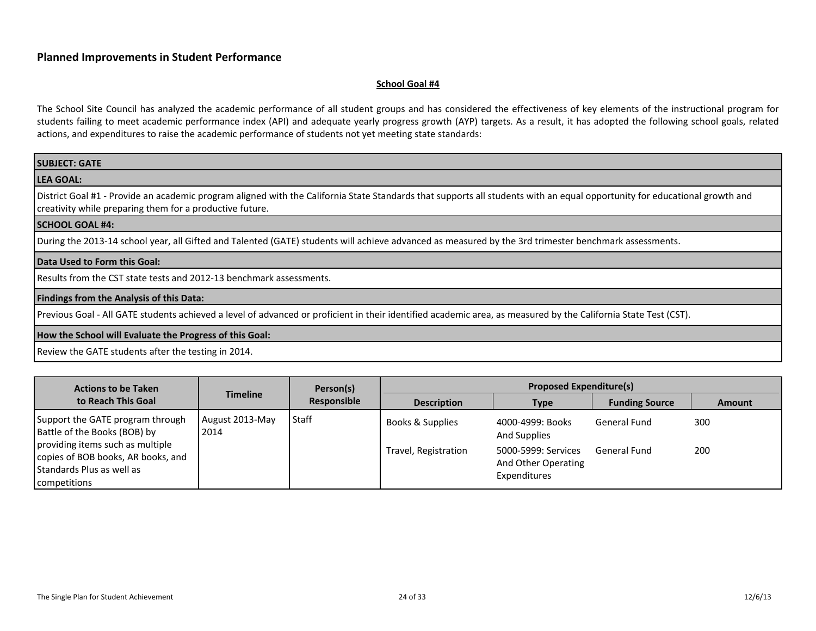#### <span id="page-23-0"></span>**School Goal #4**

| <b>SUBJECT: GATE</b>                                                                                                                                                                                                                   |
|----------------------------------------------------------------------------------------------------------------------------------------------------------------------------------------------------------------------------------------|
| <b>LEA GOAL:</b>                                                                                                                                                                                                                       |
| District Goal #1 - Provide an academic program aligned with the California State Standards that supports all students with an equal opportunity for educational growth and<br>creativity while preparing them for a productive future. |
| <b>SCHOOL GOAL #4:</b>                                                                                                                                                                                                                 |
| During the 2013-14 school year, all Gifted and Talented (GATE) students will achieve advanced as measured by the 3rd trimester benchmark assessments.                                                                                  |
| Data Used to Form this Goal:                                                                                                                                                                                                           |
| Results from the CST state tests and 2012-13 benchmark assessments.                                                                                                                                                                    |
| <b>Findings from the Analysis of this Data:</b>                                                                                                                                                                                        |
| Previous Goal - All GATE students achieved a level of advanced or proficient in their identified academic area, as measured by the California State Test (CST).                                                                        |
| How the School will Evaluate the Progress of this Goal:                                                                                                                                                                                |
| Review the GATE students after the testing in 2014.                                                                                                                                                                                    |

| <b>Actions to be Taken</b>                                                                                          | <b>Timeline</b>         | Person(s)<br>Responsible | <b>Proposed Expenditure(s)</b> |                                                            |                       |               |  |
|---------------------------------------------------------------------------------------------------------------------|-------------------------|--------------------------|--------------------------------|------------------------------------------------------------|-----------------------|---------------|--|
| to Reach This Goal                                                                                                  |                         |                          | <b>Description</b>             | <b>Type</b>                                                | <b>Funding Source</b> | <b>Amount</b> |  |
| Support the GATE program through<br>Battle of the Books (BOB) by                                                    | August 2013-May<br>2014 | Staff                    | Books & Supplies               | 4000-4999: Books<br><b>And Supplies</b>                    | General Fund          | 300           |  |
| providing items such as multiple<br>copies of BOB books, AR books, and<br>Standards Plus as well as<br>competitions |                         |                          | Travel, Registration           | 5000-5999: Services<br>And Other Operating<br>Expenditures | General Fund          | 200           |  |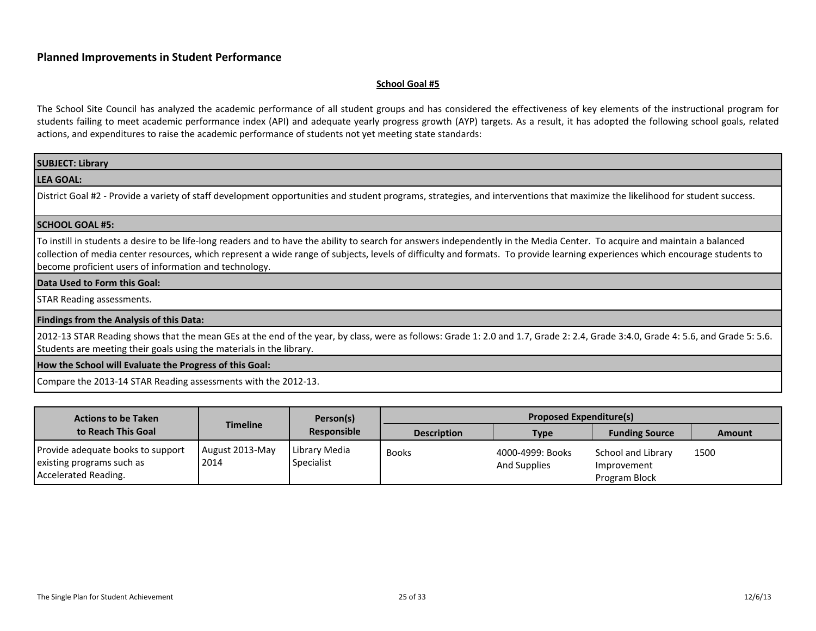#### <span id="page-24-0"></span>**School Goal #5**

| <b>SUBJECT: Library</b>                                                                                                                                                                                                                                                                                                                                                                                                |
|------------------------------------------------------------------------------------------------------------------------------------------------------------------------------------------------------------------------------------------------------------------------------------------------------------------------------------------------------------------------------------------------------------------------|
| <b>LEA GOAL:</b>                                                                                                                                                                                                                                                                                                                                                                                                       |
| District Goal #2 - Provide a variety of staff development opportunities and student programs, strategies, and interventions that maximize the likelihood for student success.                                                                                                                                                                                                                                          |
| SCHOOL GOAL #5:                                                                                                                                                                                                                                                                                                                                                                                                        |
| To instill in students a desire to be life-long readers and to have the ability to search for answers independently in the Media Center. To acquire and maintain a balanced<br>collection of media center resources, which represent a wide range of subjects, levels of difficulty and formats. To provide learning experiences which encourage students to<br>become proficient users of information and technology. |
| Data Used to Form this Goal:                                                                                                                                                                                                                                                                                                                                                                                           |
| <b>STAR Reading assessments.</b>                                                                                                                                                                                                                                                                                                                                                                                       |
| <b>Findings from the Analysis of this Data:</b>                                                                                                                                                                                                                                                                                                                                                                        |
| 2012-13 STAR Reading shows that the mean GEs at the end of the year, by class, were as follows: Grade 1: 2.0 and 1.7, Grade 2: 2.4, Grade 3:4.0, Grade 4: 5.6, and Grade 5: 5.6.<br>Students are meeting their goals using the materials in the library.                                                                                                                                                               |
| How the School will Evaluate the Progress of this Goal:                                                                                                                                                                                                                                                                                                                                                                |
| Compare the 2013-14 STAR Reading assessments with the 2012-13.                                                                                                                                                                                                                                                                                                                                                         |

| <b>Actions to be Taken</b>                                                             |                         | Person(s)                   | <b>Proposed Expenditure(s)</b> |                                         |                                                    |               |  |
|----------------------------------------------------------------------------------------|-------------------------|-----------------------------|--------------------------------|-----------------------------------------|----------------------------------------------------|---------------|--|
| to Reach This Goal                                                                     | Timeline                | Responsible                 | <b>Description</b>             | <b>Type</b>                             | <b>Funding Source</b>                              | <b>Amount</b> |  |
| Provide adequate books to support<br>existing programs such as<br>Accelerated Reading. | August 2013-May<br>2014 | Library Media<br>Specialist | <b>Books</b>                   | 4000-4999: Books<br><b>And Supplies</b> | School and Library<br>Improvement<br>Program Block | 1500          |  |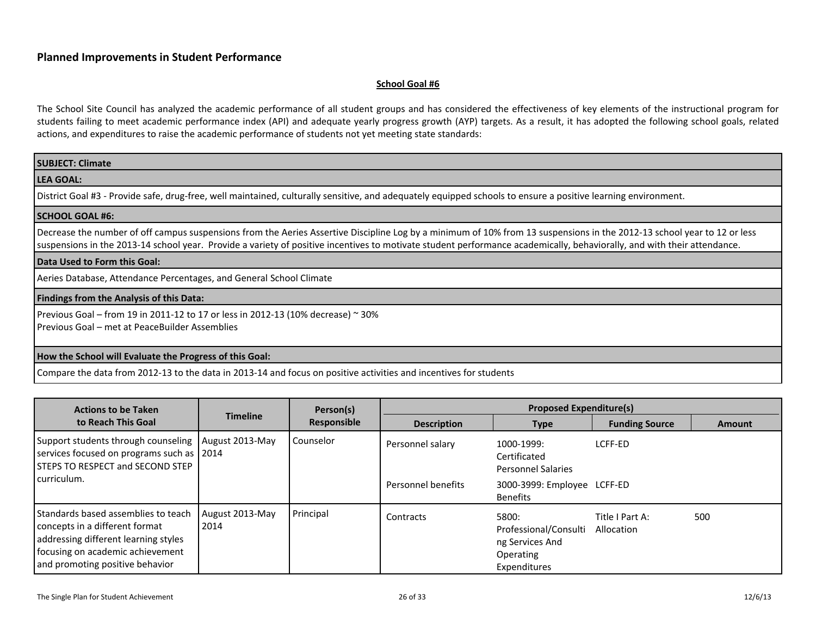#### <span id="page-25-0"></span>**School Goal #6**

| SUBJECT: Climate                                                                                                                                                                                                                                                                                                                                   |
|----------------------------------------------------------------------------------------------------------------------------------------------------------------------------------------------------------------------------------------------------------------------------------------------------------------------------------------------------|
| <b>LEA GOAL:</b>                                                                                                                                                                                                                                                                                                                                   |
| District Goal #3 - Provide safe, drug-free, well maintained, culturally sensitive, and adequately equipped schools to ensure a positive learning environment.                                                                                                                                                                                      |
| <b>SCHOOL GOAL #6:</b>                                                                                                                                                                                                                                                                                                                             |
| Decrease the number of off campus suspensions from the Aeries Assertive Discipline Log by a minimum of 10% from 13 suspensions in the 2012-13 school year to 12 or less<br>suspensions in the 2013-14 school year. Provide a variety of positive incentives to motivate student performance academically, behaviorally, and with their attendance. |
| Data Used to Form this Goal:                                                                                                                                                                                                                                                                                                                       |
| Aeries Database, Attendance Percentages, and General School Climate                                                                                                                                                                                                                                                                                |
| Findings from the Analysis of this Data:                                                                                                                                                                                                                                                                                                           |
| Previous Goal – from 19 in 2011-12 to 17 or less in 2012-13 (10% decrease) $\approx$ 30%<br>Previous Goal – met at PeaceBuilder Assemblies                                                                                                                                                                                                         |
| How the School will Evaluate the Progress of this Goal:                                                                                                                                                                                                                                                                                            |
| Compare the data from 2012-13 to the data in 2013-14 and focus on positive activities and incentives for students                                                                                                                                                                                                                                  |

| <b>Actions to be Taken</b>                                                                                                                                                           |                         | Person(s)<br>Responsible | <b>Proposed Expenditure(s)</b> |                                                                                |                               |               |  |
|--------------------------------------------------------------------------------------------------------------------------------------------------------------------------------------|-------------------------|--------------------------|--------------------------------|--------------------------------------------------------------------------------|-------------------------------|---------------|--|
| to Reach This Goal                                                                                                                                                                   | <b>Timeline</b>         |                          | <b>Description</b>             | <b>Type</b>                                                                    | <b>Funding Source</b>         | <b>Amount</b> |  |
| Support students through counseling<br>services focused on programs such as 2014<br>STEPS TO RESPECT and SECOND STEP                                                                 | August 2013-May         | <b>Counselor</b>         | Personnel salary               | 1000-1999:<br>Certificated<br><b>Personnel Salaries</b>                        | LCFF-ED                       |               |  |
| curriculum.                                                                                                                                                                          |                         |                          | Personnel benefits             | 3000-3999: Employee LCFF-ED<br><b>Benefits</b>                                 |                               |               |  |
| Standards based assemblies to teach<br>concepts in a different format<br>addressing different learning styles<br>focusing on academic achievement<br>and promoting positive behavior | August 2013-May<br>2014 | Principal                | Contracts                      | 5800:<br>Professional/Consulti<br>ng Services And<br>Operating<br>Expenditures | Title I Part A:<br>Allocation | 500           |  |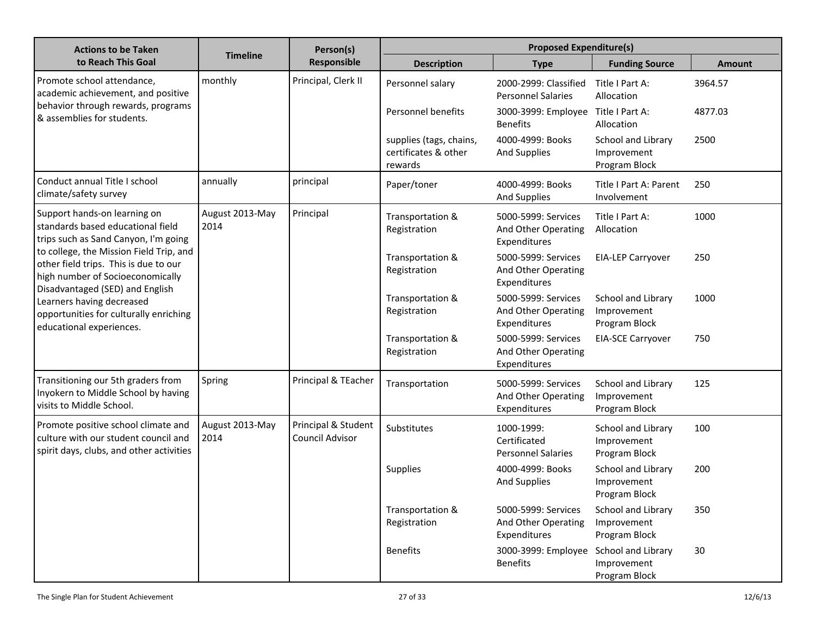| <b>Actions to be Taken</b>                                                                                                                              |                         | Person(s)<br>Responsible               | <b>Proposed Expenditure(s)</b>                             |                                                            |                                                    |               |  |
|---------------------------------------------------------------------------------------------------------------------------------------------------------|-------------------------|----------------------------------------|------------------------------------------------------------|------------------------------------------------------------|----------------------------------------------------|---------------|--|
| to Reach This Goal                                                                                                                                      | <b>Timeline</b>         |                                        | <b>Description</b>                                         | <b>Type</b>                                                | <b>Funding Source</b>                              | <b>Amount</b> |  |
| Promote school attendance,<br>academic achievement, and positive                                                                                        | monthly                 | Principal, Clerk II                    | Personnel salary                                           | 2000-2999: Classified<br><b>Personnel Salaries</b>         | Title I Part A:<br>Allocation                      | 3964.57       |  |
| behavior through rewards, programs<br>& assemblies for students.                                                                                        |                         |                                        | Personnel benefits                                         | 3000-3999: Employee<br><b>Benefits</b>                     | Title I Part A:<br>Allocation                      | 4877.03       |  |
|                                                                                                                                                         |                         |                                        | supplies (tags, chains,<br>certificates & other<br>rewards | 4000-4999: Books<br>And Supplies                           | School and Library<br>Improvement<br>Program Block | 2500          |  |
| Conduct annual Title I school<br>climate/safety survey                                                                                                  | annually                | principal                              | Paper/toner                                                | 4000-4999: Books<br><b>And Supplies</b>                    | Title I Part A: Parent<br>Involvement              | 250           |  |
| Support hands-on learning on<br>standards based educational field<br>trips such as Sand Canyon, I'm going                                               | August 2013-May<br>2014 | Principal                              | Transportation &<br>Registration                           | 5000-5999: Services<br>And Other Operating<br>Expenditures | Title I Part A:<br>Allocation                      | 1000          |  |
| to college, the Mission Field Trip, and<br>other field trips. This is due to our<br>high number of Socioeconomically<br>Disadvantaged (SED) and English |                         |                                        | Transportation &<br>Registration                           | 5000-5999: Services<br>And Other Operating<br>Expenditures | <b>EIA-LEP Carryover</b>                           | 250           |  |
| Learners having decreased<br>opportunities for culturally enriching<br>educational experiences.                                                         |                         |                                        | Transportation &<br>Registration                           | 5000-5999: Services<br>And Other Operating<br>Expenditures | School and Library<br>Improvement<br>Program Block | 1000          |  |
|                                                                                                                                                         |                         |                                        | Transportation &<br>Registration                           | 5000-5999: Services<br>And Other Operating<br>Expenditures | <b>EIA-SCE Carryover</b>                           | 750           |  |
| Transitioning our 5th graders from<br>Inyokern to Middle School by having<br>visits to Middle School.                                                   | Spring                  | Principal & TEacher                    | Transportation                                             | 5000-5999: Services<br>And Other Operating<br>Expenditures | School and Library<br>Improvement<br>Program Block | 125           |  |
| Promote positive school climate and<br>culture with our student council and<br>spirit days, clubs, and other activities                                 | August 2013-May<br>2014 | Principal & Student<br>Council Advisor | Substitutes                                                | 1000-1999:<br>Certificated<br><b>Personnel Salaries</b>    | School and Library<br>Improvement<br>Program Block | 100           |  |
|                                                                                                                                                         |                         |                                        | <b>Supplies</b>                                            | 4000-4999: Books<br><b>And Supplies</b>                    | School and Library<br>Improvement<br>Program Block | 200           |  |
|                                                                                                                                                         |                         |                                        | Transportation &<br>Registration                           | 5000-5999: Services<br>And Other Operating<br>Expenditures | School and Library<br>Improvement<br>Program Block | 350           |  |
|                                                                                                                                                         |                         |                                        | <b>Benefits</b>                                            | 3000-3999: Employee<br><b>Benefits</b>                     | School and Library<br>Improvement<br>Program Block | 30            |  |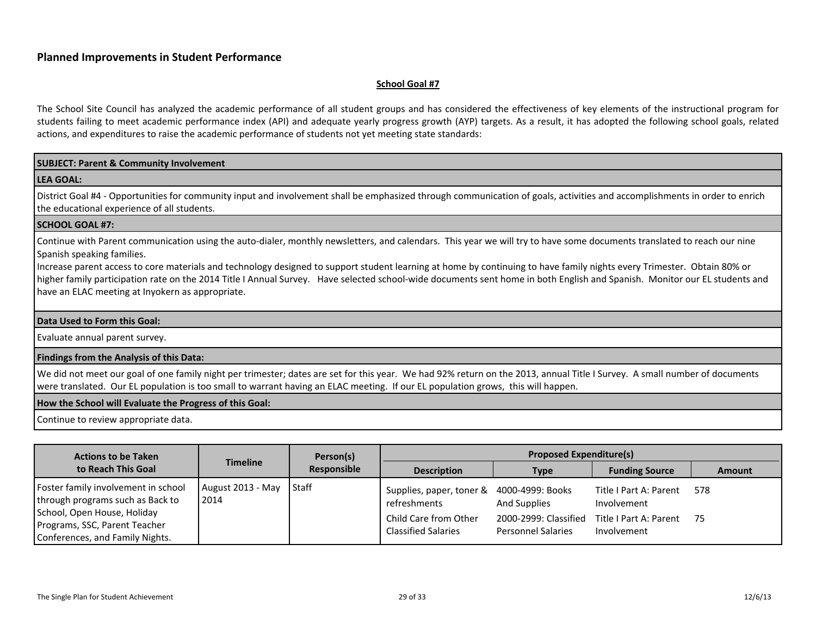#### <span id="page-28-0"></span>**School Goal #7**

The School Site Council has analyzed the academic performance of all student groups and has considered the effectiveness of key elements of the instructional program for students failing to meet academic performance index (API) and adequate yearly progress growth (AYP) targets. As a result, it has adopted the following school goals, related actions, and expenditures to raise the academic performance of students not yet meeting state standards:

#### **SUBJECT: Parent & Community Involvement**

#### **LEA GOAL:**

District Goal #4 - Opportunities for community input and involvement shall be emphasized through communication of goals, activities and accomplishments in order to enrich the educational experience of all students.

#### **SCHOOL GOAL #7:**

Continue with Parent communication using the auto-dialer, monthly newsletters, and calendars. This year we will try to have some documents translated to reach our nine Spanish speaking families.

Increase parent access to core materials and technology designed to support student learning at home by continuing to have family nights every Trimester. Obtain 80% or higher family participation rate on the 2014 Title I Annual Survey. Have selected school-wide documents sent home in both English and Spanish. Monitor our EL students and have an ELAC meeting at Inyokern as appropriate.

#### **Data Used to Form this Goal:**

Evaluate annual parent survey.

#### **Findings from the Analysis of this Data:**

We did not meet our goal of one family night per trimester; dates are set for this year. We had 92% return on the 2013, annual Title I Survey. A small number of documents were translated. Our EL population is too small to warrant having an ELAC meeting. If our EL population grows, this will happen.

#### **How the School will Evaluate the Progress of this Goal:**

Continue to review appropriate data.

| <b>Actions to be Taken</b>                                                                             |                           | Person(s)<br>Responsible | <b>Proposed Expenditure(s)</b>                            |                                                                           |                                       |               |  |
|--------------------------------------------------------------------------------------------------------|---------------------------|--------------------------|-----------------------------------------------------------|---------------------------------------------------------------------------|---------------------------------------|---------------|--|
| to Reach This Goal                                                                                     | <b>Timeline</b>           |                          | <b>Description</b>                                        | Type                                                                      | <b>Funding Source</b>                 | <b>Amount</b> |  |
| Foster family involvement in school<br>through programs such as Back to<br>School, Open House, Holiday | August 2013 - May<br>2014 | <b>Staff</b>             | Supplies, paper, toner & 4000-4999: Books<br>refreshments | <b>And Supplies</b>                                                       | Title I Part A: Parent<br>Involvement | 578           |  |
| Programs, SSC, Parent Teacher<br>Conferences, and Family Nights.                                       |                           |                          | Child Care from Other<br><b>Classified Salaries</b>       | 2000-2999: Classified Title I Part A: Parent<br><b>Personnel Salaries</b> | Involvement                           | - 75          |  |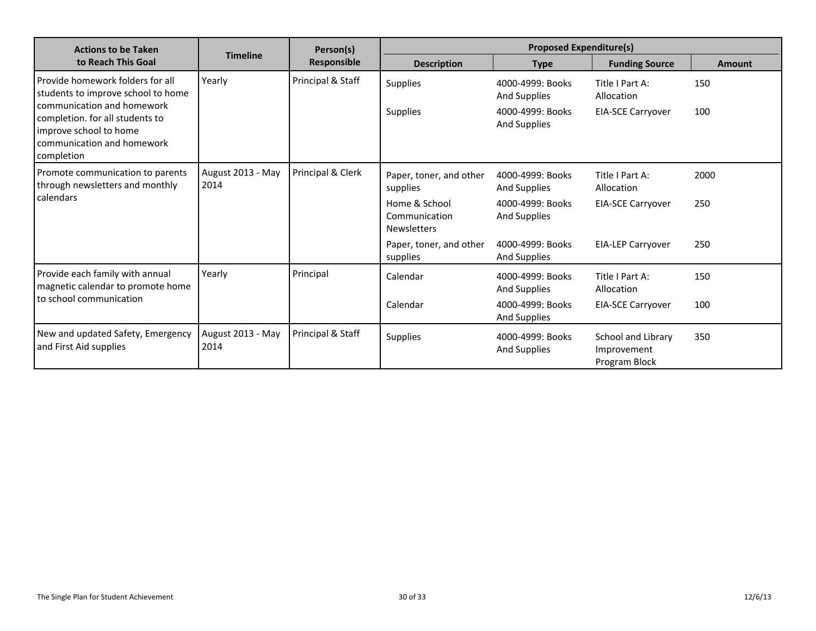| <b>Actions to be Taken</b>                                                                                                                                                                                    |                           | Person(s)          | <b>Proposed Expenditure(s)</b>                                                                                         |                                                                                                 |                                                                                       |                    |
|---------------------------------------------------------------------------------------------------------------------------------------------------------------------------------------------------------------|---------------------------|--------------------|------------------------------------------------------------------------------------------------------------------------|-------------------------------------------------------------------------------------------------|---------------------------------------------------------------------------------------|--------------------|
| to Reach This Goal                                                                                                                                                                                            | <b>Timeline</b>           | <b>Responsible</b> | <b>Description</b>                                                                                                     | <b>Type</b>                                                                                     | <b>Funding Source</b>                                                                 | Amount             |
| Provide homework folders for all<br>students to improve school to home<br>communication and homework<br>completion. for all students to<br>improve school to home<br>communication and homework<br>completion | Yearly                    | Principal & Staff  | <b>Supplies</b><br><b>Supplies</b>                                                                                     | 4000-4999: Books<br>And Supplies<br>4000-4999: Books<br>And Supplies                            | Title I Part A:<br>Allocation<br><b>EIA-SCE Carryover</b>                             | 150<br>100         |
| Promote communication to parents<br>through newsletters and monthly<br>calendars                                                                                                                              | August 2013 - May<br>2014 | Principal & Clerk  | Paper, toner, and other<br>supplies<br>Home & School<br>Communication<br><b>Newsletters</b><br>Paper, toner, and other | 4000-4999: Books<br><b>And Supplies</b><br>4000-4999: Books<br>And Supplies<br>4000-4999: Books | Title I Part A:<br>Allocation<br><b>EIA-SCE Carryover</b><br><b>EIA-LEP Carryover</b> | 2000<br>250<br>250 |
| Provide each family with annual<br>magnetic calendar to promote home<br>to school communication                                                                                                               | Yearly                    | Principal          | supplies<br>Calendar<br>Calendar                                                                                       | And Supplies<br>4000-4999: Books<br><b>And Supplies</b><br>4000-4999: Books<br>And Supplies     | Title I Part A:<br>Allocation<br><b>EIA-SCE Carryover</b>                             | 150<br>100         |
| New and updated Safety, Emergency<br>and First Aid supplies                                                                                                                                                   | August 2013 - May<br>2014 | Principal & Staff  | <b>Supplies</b>                                                                                                        | 4000-4999: Books<br>And Supplies                                                                | School and Library<br>Improvement<br>Program Block                                    | 350                |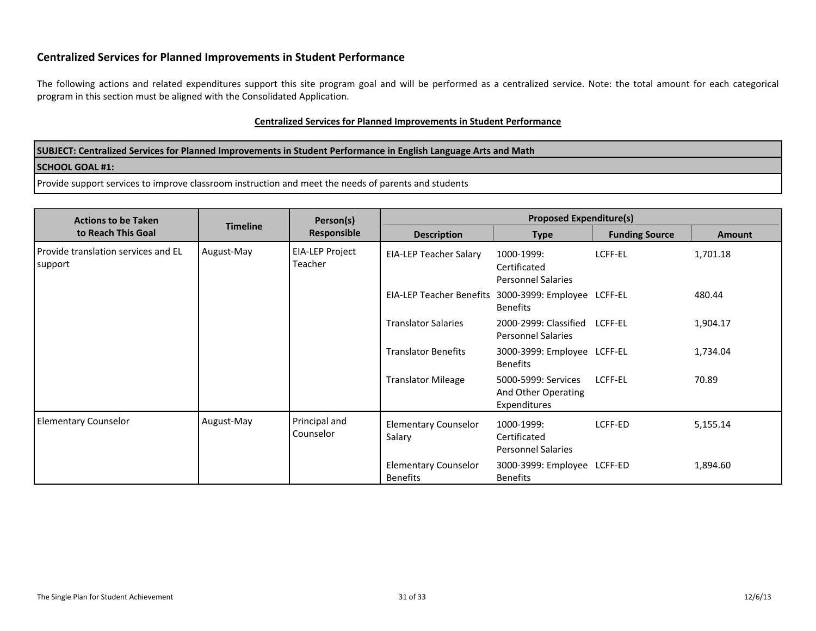# **Centralized Services for Planned Improvements in Student Performance**

The following actions and related expenditures support this site program goal and will be performed as a centralized service. Note: the total amount for each categorical program in this section must be aligned with the Consolidated Application.

#### **Centralized Services for Planned Improvements in Student Performance**

| SUBJECT: Centralized Services for Planned Improvements in Student Performance in English Language Arts and Math |
|-----------------------------------------------------------------------------------------------------------------|
| <b>SCHOOL GOAL #1:</b>                                                                                          |
| Provide support services to improve classroom instruction and meet the needs of parents and students            |

<span id="page-30-0"></span>

| <b>Actions to be Taken</b>                                   |                 | Person(s)                  | <b>Proposed Expenditure(s)</b>                       |                                                            |                       |               |
|--------------------------------------------------------------|-----------------|----------------------------|------------------------------------------------------|------------------------------------------------------------|-----------------------|---------------|
| to Reach This Goal                                           | <b>Timeline</b> | <b>Responsible</b>         | <b>Description</b>                                   | <b>Type</b>                                                | <b>Funding Source</b> | <b>Amount</b> |
| Provide translation services and EL<br>August-May<br>support |                 | EIA-LEP Project<br>Teacher | <b>EIA-LEP Teacher Salary</b>                        | 1000-1999:<br>Certificated<br><b>Personnel Salaries</b>    | LCFF-EL               | 1,701.18      |
|                                                              |                 |                            | EIA-LEP Teacher Benefits 3000-3999: Employee LCFF-EL | <b>Benefits</b>                                            |                       | 480.44        |
|                                                              |                 |                            | <b>Translator Salaries</b>                           | 2000-2999: Classified LCFF-EL<br><b>Personnel Salaries</b> |                       | 1,904.17      |
|                                                              |                 |                            | <b>Translator Benefits</b>                           | 3000-3999: Employee LCFF-EL<br><b>Benefits</b>             |                       | 1,734.04      |
|                                                              |                 |                            | <b>Translator Mileage</b>                            | 5000-5999: Services<br>And Other Operating<br>Expenditures | LCFF-EL               | 70.89         |
| <b>Elementary Counselor</b>                                  | August-May      | Principal and<br>Counselor | <b>Elementary Counselor</b><br>Salary                | 1000-1999:<br>Certificated<br><b>Personnel Salaries</b>    | LCFF-ED               | 5,155.14      |
|                                                              |                 |                            | <b>Elementary Counselor</b><br><b>Benefits</b>       | 3000-3999: Employee LCFF-ED<br><b>Benefits</b>             |                       | 1,894.60      |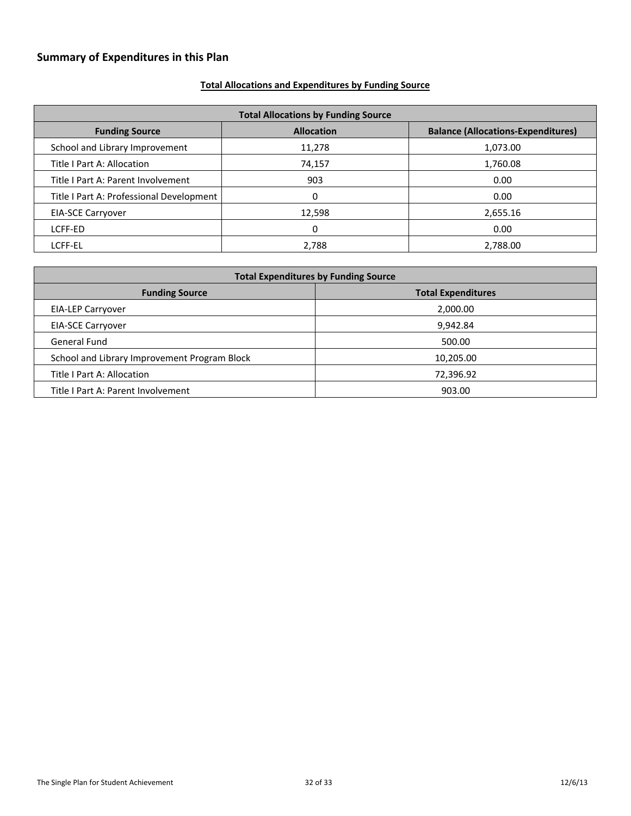# <span id="page-31-0"></span>**Summary of Expenditures in this Plan**

# <span id="page-31-1"></span>**Total Allocations and Expenditures by Funding Source**

| <b>Total Allocations by Funding Source</b>                                              |        |          |  |  |  |  |  |
|-----------------------------------------------------------------------------------------|--------|----------|--|--|--|--|--|
| <b>Allocation</b><br><b>Balance (Allocations-Expenditures)</b><br><b>Funding Source</b> |        |          |  |  |  |  |  |
| School and Library Improvement                                                          | 11,278 | 1,073.00 |  |  |  |  |  |
| Title I Part A: Allocation                                                              | 74,157 | 1,760.08 |  |  |  |  |  |
| Title I Part A: Parent Involvement                                                      | 903    | 0.00     |  |  |  |  |  |
| Title I Part A: Professional Development                                                |        | 0.00     |  |  |  |  |  |
| <b>EIA-SCE Carryover</b>                                                                | 12,598 | 2,655.16 |  |  |  |  |  |
| LCFF-ED                                                                                 | 0      | 0.00     |  |  |  |  |  |
| LCFF-EL                                                                                 | 2,788  | 2,788.00 |  |  |  |  |  |

| <b>Total Expenditures by Funding Source</b>        |           |  |  |  |  |
|----------------------------------------------------|-----------|--|--|--|--|
| <b>Total Expenditures</b><br><b>Funding Source</b> |           |  |  |  |  |
| <b>EIA-LEP Carryover</b>                           | 2,000.00  |  |  |  |  |
| <b>EIA-SCE Carryover</b>                           | 9,942.84  |  |  |  |  |
| <b>General Fund</b>                                | 500.00    |  |  |  |  |
| School and Library Improvement Program Block       | 10,205.00 |  |  |  |  |
| Title I Part A: Allocation                         | 72,396.92 |  |  |  |  |
| Title I Part A: Parent Involvement                 | 903.00    |  |  |  |  |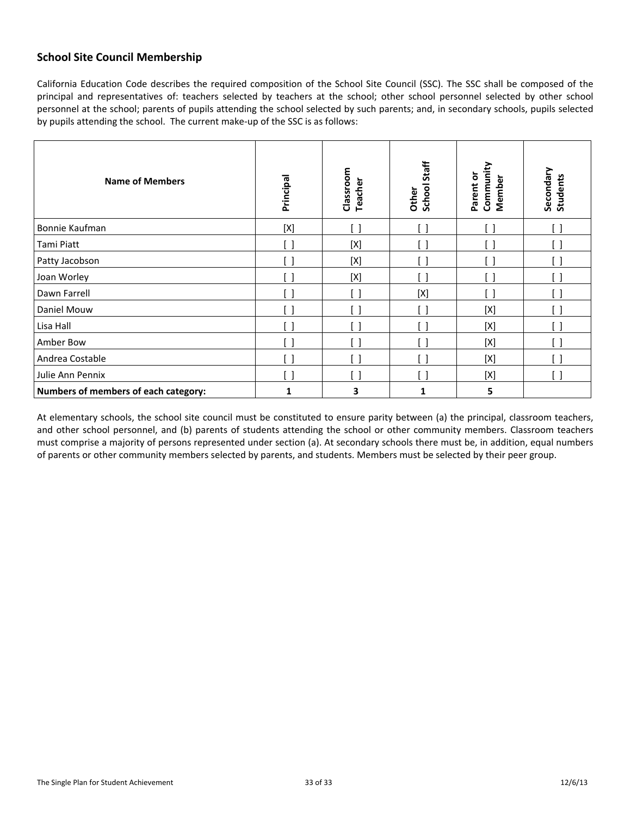# <span id="page-32-0"></span>**School Site Council Membership**

California Education Code describes the required composition of the School Site Council (SSC). The SSC shall be composed of the principal and representatives of: teachers selected by teachers at the school; other school personnel selected by other school personnel at the school; parents of pupils attending the school selected by such parents; and, in secondary schools, pupils selected by pupils attending the school. The current make-up of the SSC is as follows:

| <b>Name of Members</b>               | Principal          | Classroom<br>Teacher | School Staff<br>Other | Community<br>Parent or<br>Member | Secondary<br><b>Students</b> |
|--------------------------------------|--------------------|----------------------|-----------------------|----------------------------------|------------------------------|
| Bonnie Kaufman                       | [X]                |                      |                       |                                  | [ ]                          |
| Tami Piatt                           | [ ]                | $[{\sf X}]$          |                       |                                  |                              |
| Patty Jacobson                       | - 1                | $[{\sf X}]$          |                       |                                  | L.                           |
| Joan Worley                          |                    | [X]                  |                       |                                  |                              |
| Dawn Farrell                         | $\Box$             |                      | $[{\sf X}]$           | $\overline{\phantom{a}}$         | $\Box$                       |
| Daniel Mouw                          | 81                 |                      | ้ 1                   | $[{\sf X}]$                      | $[\; \; ]$                   |
| Lisa Hall                            | $\left[ \ \right]$ |                      |                       | $[{\sf X}]$                      | ן ו                          |
| Amber Bow                            | [ ]                |                      | H                     | $[{\sf X}]$                      | ן ו                          |
| Andrea Costable                      | [ ]                |                      | 81                    | $[{\sf X}]$                      | $[\,\,]$                     |
| Julie Ann Pennix                     | $\Box$             |                      |                       | [X]                              | [ ]                          |
| Numbers of members of each category: | 1                  | 3                    | 1                     | 5                                |                              |

At elementary schools, the school site council must be constituted to ensure parity between (a) the principal, classroom teachers, and other school personnel, and (b) parents of students attending the school or other community members. Classroom teachers must comprise a majority of persons represented under section (a). At secondary schools there must be, in addition, equal numbers of parents or other community members selected by parents, and students. Members must be selected by their peer group.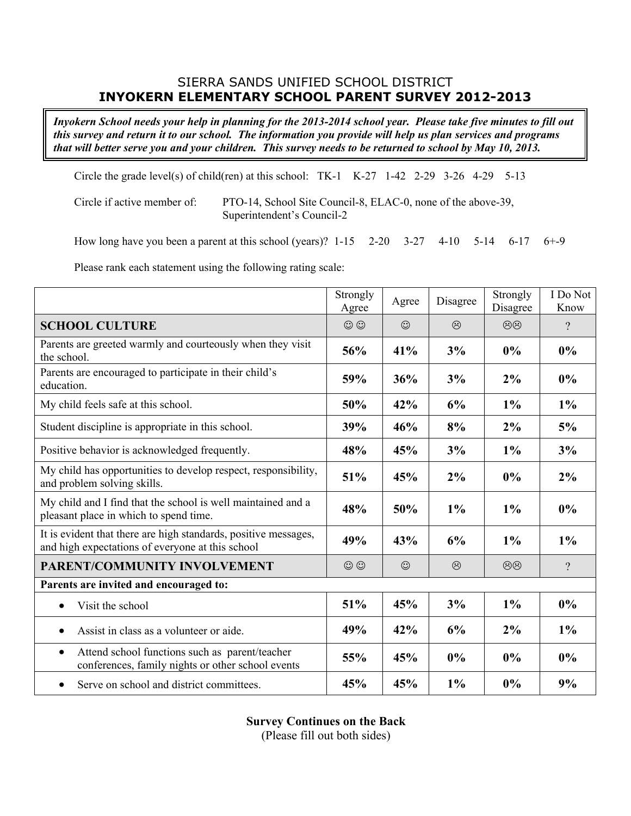# SIERRA SANDS UNIFIED SCHOOL DISTRICT **INYOKERN ELEMENTARY SCHOOL PARENT SURVEY 2012-2013**

Inyokern School needs your help in planning for the 2013-2014 school year. Please take five minutes to fill out this survey and return it to our school. The information you provide will help us plan services and programs that will better serve you and your children. This survey needs to be returned to school by May 10, 2013.

Circle the grade level(s) of child(ren) at this school:  $TK-1$  K-27 1-42 2-29 3-26 4-29 5-13

Circle if active member of: PTO-14, School Site Council-8, ELAC-0, none of the above-39, Superintendent's Council-2

How long have you been a parent at this school (years)? 1-15 2-20 3-27 4-10 5-14 6-17 6+-9

Please rank each statement using the following rating scale:

|                                                                                                                     | Strongly<br>Agree | Agree   | Disagree | Strongly<br>Disagree | I Do Not<br>Know |
|---------------------------------------------------------------------------------------------------------------------|-------------------|---------|----------|----------------------|------------------|
| <b>SCHOOL CULTURE</b>                                                                                               | $\odot$           | $\odot$ | $\odot$  | $\circledcirc$       | $\gamma$         |
| Parents are greeted warmly and courteously when they visit<br>the school.                                           | 56%               | 41%     | 3%       | $0\%$                | 0%               |
| Parents are encouraged to participate in their child's<br>education.                                                | 59%               | 36%     | 3%       | 2%                   | $0\%$            |
| My child feels safe at this school.                                                                                 | 50%               | 42%     | 6%       | $1\%$                | $1\%$            |
| Student discipline is appropriate in this school.                                                                   | 39%               | 46%     | 8%       | 2%                   | 5%               |
| Positive behavior is acknowledged frequently.                                                                       | 48%               | 45%     | 3%       | 1%                   | 3%               |
| My child has opportunities to develop respect, responsibility,<br>and problem solving skills.                       | 51%               | 45%     | 2%       | 0%                   | $2\%$            |
| My child and I find that the school is well maintained and a<br>pleasant place in which to spend time.              | 48%               | 50%     | 1%       | 1%                   | 0%               |
| It is evident that there are high standards, positive messages,<br>and high expectations of everyone at this school | 49%               | 43%     | 6%       | 1%                   | 1%               |
| PARENT/COMMUNITY INVOLVEMENT                                                                                        | $\odot$           | $\odot$ | $\odot$  | $\circledcirc$       | $\gamma$         |
| Parents are invited and encouraged to:                                                                              |                   |         |          |                      |                  |
| Visit the school<br>$\bullet$                                                                                       | 51%               | 45%     | 3%       | $1\%$                | 0%               |
| Assist in class as a volunteer or aide.<br>$\bullet$                                                                | 49%               | 42%     | 6%       | 2%                   | $1\%$            |
| Attend school functions such as parent/teacher<br>$\bullet$<br>conferences, family nights or other school events    | 55%               | 45%     | $0\%$    | $0\%$                | 0%               |
| Serve on school and district committees.<br>$\bullet$                                                               | 45%               | 45%     | $1\%$    | 0%                   | 9%               |

**Survey Continues on the Back**

(Please fill out both sides)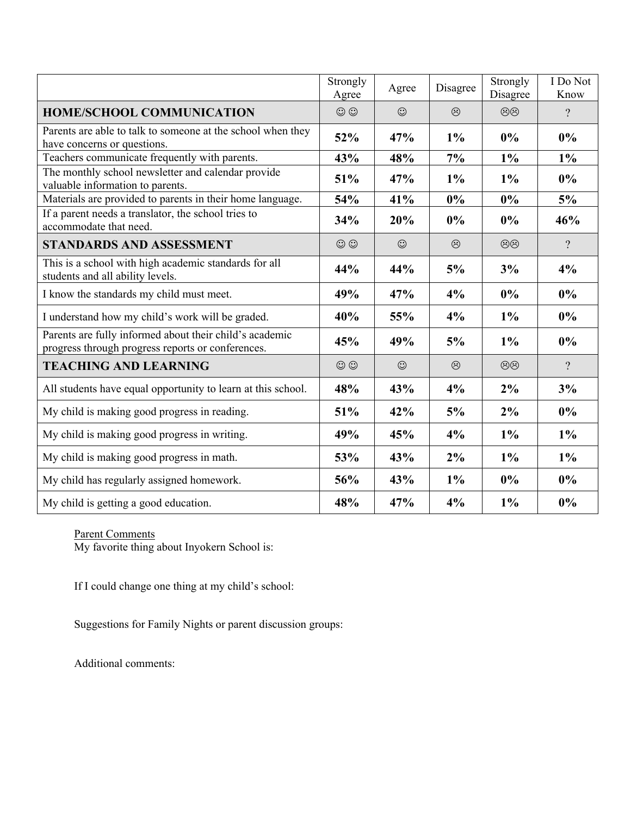|                                                                                                              | Strongly<br>Agree | Agree   | Disagree | Strongly<br>Disagree | I Do Not<br>Know |
|--------------------------------------------------------------------------------------------------------------|-------------------|---------|----------|----------------------|------------------|
| <b>HOME/SCHOOL COMMUNICATION</b>                                                                             | $\odot$           | $\odot$ | $\odot$  | $\circledcirc$       | $\gamma$         |
| Parents are able to talk to someone at the school when they<br>have concerns or questions.                   | 52%               | 47%     | $1\%$    | 0%                   | $0\%$            |
| Teachers communicate frequently with parents.                                                                | 43%               | 48%     | 7%       | $1\%$                | $1\%$            |
| The monthly school newsletter and calendar provide<br>valuable information to parents.                       | 51%               | 47%     | $1\%$    | $1\%$                | 0%               |
| Materials are provided to parents in their home language.                                                    | 54%               | 41%     | $0\%$    | $0\%$                | 5%               |
| If a parent needs a translator, the school tries to<br>accommodate that need.                                | 34%               | 20%     | $0\%$    | $0\%$                | 46%              |
| <b>STANDARDS AND ASSESSMENT</b>                                                                              | $\odot$           | $\odot$ | $\odot$  | $\circledcirc$       | $\gamma$         |
| This is a school with high academic standards for all<br>students and all ability levels.                    | 44%               | 44%     | 5%       | 3%                   | 4%               |
| I know the standards my child must meet.                                                                     | 49%               | 47%     | 4%       | 0%                   | 0%               |
| I understand how my child's work will be graded.                                                             | 40%               | 55%     | 4%       | $1\%$                | $0\%$            |
| Parents are fully informed about their child's academic<br>progress through progress reports or conferences. | 45%               | 49%     | 5%       | $1\%$                | $0\%$            |
| <b>TEACHING AND LEARNING</b>                                                                                 | $\odot$           | $\odot$ | $\odot$  | $\circledcirc$       | $\gamma$         |
| All students have equal opportunity to learn at this school.                                                 | 48%               | 43%     | 4%       | 2%                   | 3%               |
| My child is making good progress in reading.                                                                 | 51%               | 42%     | 5%       | 2%                   | $0\%$            |
| My child is making good progress in writing.                                                                 | 49%               | 45%     | 4%       | $1\%$                | $1\%$            |
| My child is making good progress in math.                                                                    | 53%               | 43%     | 2%       | $1\%$                | $1\%$            |
| My child has regularly assigned homework.                                                                    | 56%               | 43%     | $1\%$    | $0\%$                | $0\%$            |
| My child is getting a good education.                                                                        | 48%               | 47%     | 4%       | 1%                   | $0\%$            |

Parent Comments

My favorite thing about Inyokern School is:

If I could change one thing at my child's school:

Suggestions for Family Nights or parent discussion groups:

Additional comments: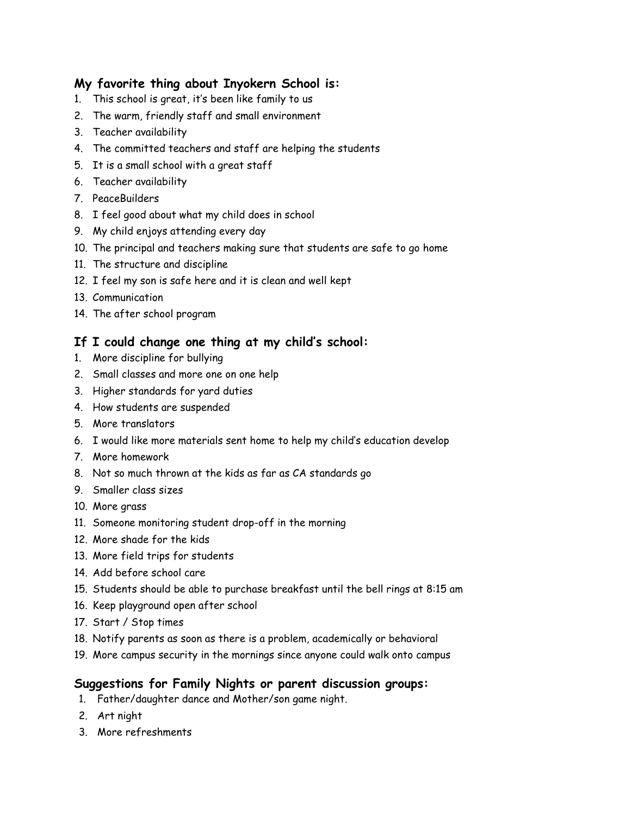# **My favorite thing about Inyokern School is:**

- 1. This school is great, it's been like family to us
- 2. The warm, friendly staff and small environment
- 3. Teacher availability
- 4. The committed teachers and staff are helping the students
- 5. It is a small school with a great staff
- 6. Teacher availability
- 7. PeaceBuilders
- 8. I feel good about what my child does in school
- 9. My child enjoys attending every day
- 10. The principal and teachers making sure that students are safe to go home
- 11. The structure and discipline
- 12. I feel my son is safe here and it is clean and well kept
- 13. Communication
- 14. The after school program

# **If I could change one thing at my child's school:**

- 1. More discipline for bullying
- 2. Small classes and more one on one help
- 3. Higher standards for yard duties
- 4. How students are suspended
- 5. More translators
- 6. I would like more materials sent home to help my child's education develop
- 7. More homework
- 8. Not so much thrown at the kids as far as CA standards go
- 9. Smaller class sizes
- 10. More grass
- 11. Someone monitoring student drop-off in the morning
- 12. More shade for the kids
- 13. More field trips for students
- 14. Add before school care
- 15. Students should be able to purchase breakfast until the bell rings at 8:15 am
- 16. Keep playground open after school
- 17. Start / Stop times
- 18. Notify parents as soon as there is a problem, academically or behavioral
- 19. More campus security in the mornings since anyone could walk onto campus

# **Suggestions for Family Nights or parent discussion groups:**

- 1. Father/daughter dance and Mother/son game night.
- 2. Art night
- 3. More refreshments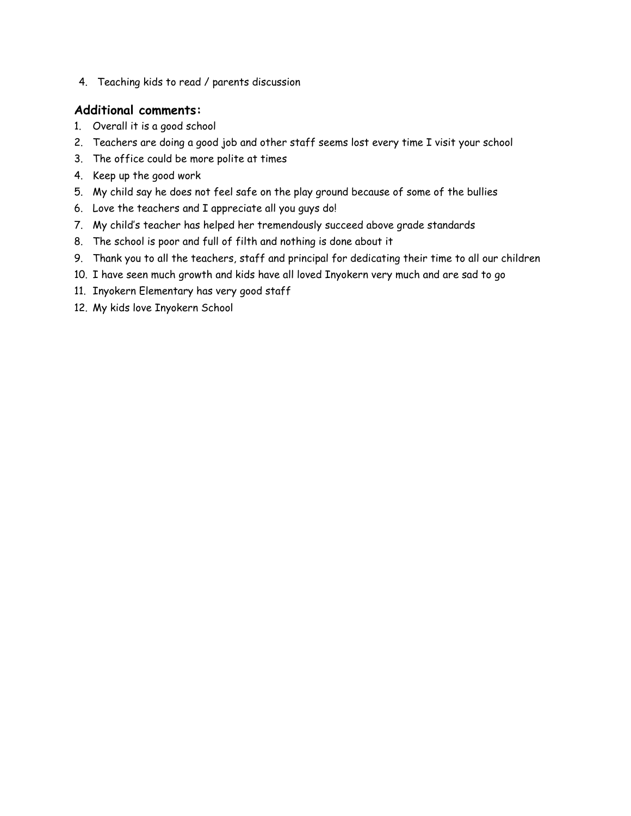4. Teaching kids to read / parents discussion

# **Additional comments:**

- 1. Overall it is a good school
- 2. Teachers are doing a good job and other staff seems lost every time I visit your school
- 3. The office could be more polite at times
- 4. Keep up the good work
- 5. My child say he does not feel safe on the play ground because of some of the bullies
- 6. Love the teachers and I appreciate all you guys do!
- 7. My child's teacher has helped her tremendously succeed above grade standards
- 8. The school is poor and full of filth and nothing is done about it
- 9. Thank you to all the teachers, staff and principal for dedicating their time to all our children
- 10. I have seen much growth and kids have all loved Inyokern very much and are sad to go
- 11. Inyokern Elementary has very good staff
- 12. My kids love Inyokern School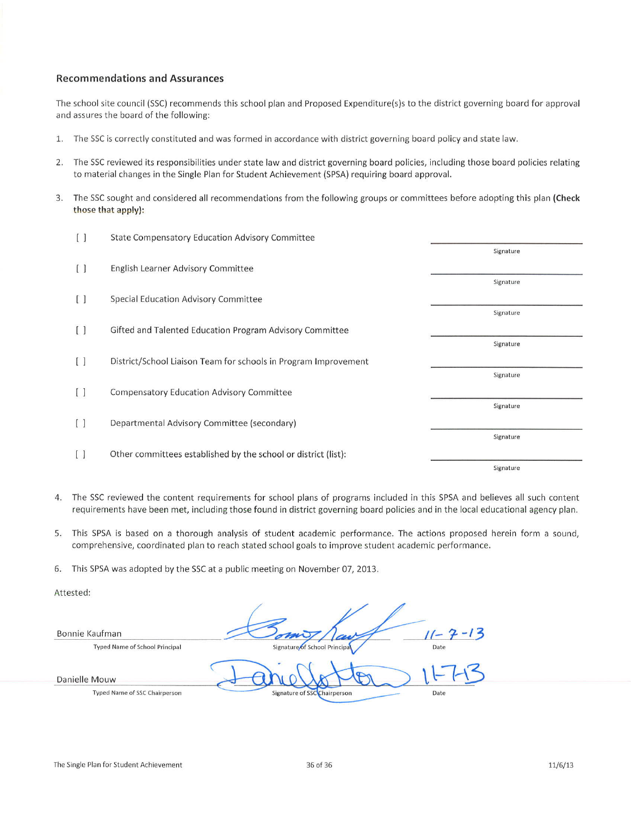#### **Recommendations and Assurances**

The school site council (SSC) recommends this school plan and Proposed Expenditure(s)s to the district governing board for approval and assures the board of the following:

- $\overline{1}$ . The SSC is correctly constituted and was formed in accordance with district governing board policy and state law.
- 2. The SSC reviewed its responsibilities under state law and district governing board policies, including those board policies relating to material changes in the Single Plan for Student Achievement (SPSA) requiring board approval.
- The SSC sought and considered all recommendations from the following groups or committees before adopting this plan (Check 3. those that apply):

| $\left[ \begin{array}{c} \end{array} \right]$ | State Compensatory Education Advisory Committee                 |           |
|-----------------------------------------------|-----------------------------------------------------------------|-----------|
|                                               |                                                                 | Signature |
| [ ]                                           | English Learner Advisory Committee                              |           |
|                                               |                                                                 | Signature |
| $\left[ \begin{array}{c} \end{array} \right]$ | Special Education Advisory Committee                            |           |
|                                               |                                                                 | Signature |
| [ ]                                           | Gifted and Talented Education Program Advisory Committee        |           |
|                                               |                                                                 | Signature |
| $\left[ \begin{array}{c} \end{array} \right]$ | District/School Liaison Team for schools in Program Improvement |           |
|                                               |                                                                 | Signature |
| Ū                                             | <b>Compensatory Education Advisory Committee</b>                |           |
|                                               |                                                                 | Signature |
| [ ]                                           | Departmental Advisory Committee (secondary)                     |           |
|                                               |                                                                 | Signature |
| [ ]                                           | Other committees established by the school or district (list):  |           |
|                                               |                                                                 | Signature |

- The SSC reviewed the content requirements for school plans of programs included in this SPSA and believes all such content 4. requirements have been met, including those found in district governing board policies and in the local educational agency plan.
- 5. This SPSA is based on a thorough analysis of student academic performance. The actions proposed herein form a sound, comprehensive, coordinated plan to reach stated school goals to improve student academic performance.

6. This SPSA was adopted by the SSC at a public meeting on November 07, 2013.

Attested:

Bonnie Kaufman **Typed Name of School Principal** School Drincing Date Danielle Mouw **Typed Name of SSC Chairperson** Date Signature of SSC Chairperson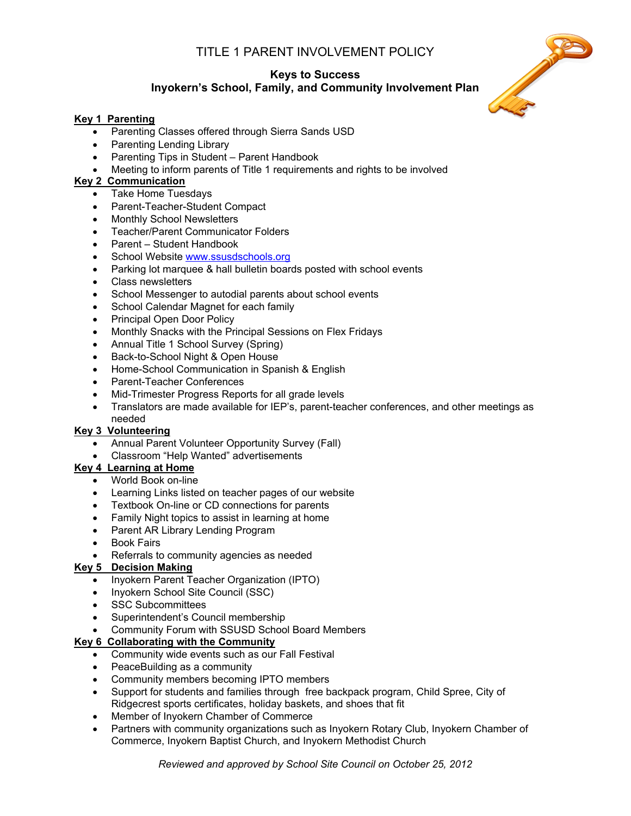# TITLE 1 PARENT INVOLVEMENT POLICY

# **Keys to Success Inyokern's School, Family, and Community Involvement Plan**

### **Key 1 Parenting**

- Parenting Classes offered through Sierra Sands USD
- Parenting Lending Library
- Parenting Tips in Student Parent Handbook
- Meeting to inform parents of Title 1 requirements and rights to be involved

### **Key 2 Communication**

- Take Home Tuesdays
- Parent-Teacher-Student Compact
- Monthly School Newsletters
- Teacher/Parent Communicator Folders
- Parent Student Handbook
- School Website [www.ssusdschools.org](http://www.ssusdschools.org/)
- Parking lot marquee & hall bulletin boards posted with school events
- Class newsletters
- School Messenger to autodial parents about school events
- School Calendar Magnet for each family
- Principal Open Door Policy
- Monthly Snacks with the Principal Sessions on Flex Fridays
- Annual Title 1 School Survey (Spring)
- Back-to-School Night & Open House
- Home-School Communication in Spanish & English
- Parent-Teacher Conferences
- Mid-Trimester Progress Reports for all grade levels
- Translators are made available for IEP's, parent-teacher conferences, and other meetings as needed

### **Key 3 Volunteering**

- Annual Parent Volunteer Opportunity Survey (Fall)
- Classroom "Help Wanted" advertisements

# **Key 4 Learning at Home**

- World Book on-line
- Learning Links listed on teacher pages of our website
- Textbook On-line or CD connections for parents
- Family Night topics to assist in learning at home
- Parent AR Library Lending Program
- Book Fairs
- Referrals to community agencies as needed

# **Key 5 Decision Making**

- Inyokern Parent Teacher Organization (IPTO)
- Inyokern School Site Council (SSC)
- SSC Subcommittees
- Superintendent's Council membership
- Community Forum with SSUSD School Board Members

### **Key 6 Collaborating with the Community**

- Community wide events such as our Fall Festival
- PeaceBuilding as a community
- Community members becoming IPTO members
- Support for students and families through free backpack program, Child Spree, City of Ridgecrest sports certificates, holiday baskets, and shoes that fit
- Member of Inyokern Chamber of Commerce
- Partners with community organizations such as Inyokern Rotary Club, Inyokern Chamber of Commerce, Inyokern Baptist Church, and Inyokern Methodist Church